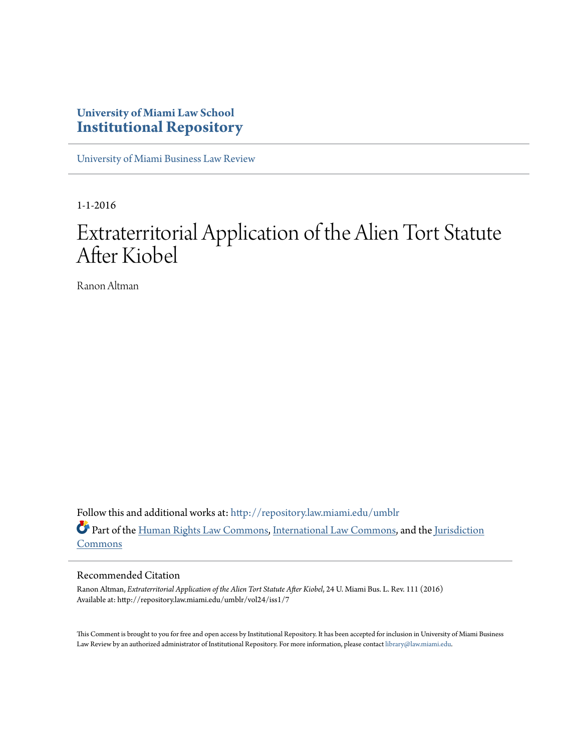# **University of Miami Law School [Institutional Repository](http://repository.law.miami.edu?utm_source=repository.law.miami.edu%2Fumblr%2Fvol24%2Fiss1%2F7&utm_medium=PDF&utm_campaign=PDFCoverPages)**

[University of Miami Business Law Review](http://repository.law.miami.edu/umblr?utm_source=repository.law.miami.edu%2Fumblr%2Fvol24%2Fiss1%2F7&utm_medium=PDF&utm_campaign=PDFCoverPages)

1-1-2016

# Extraterritorial Application of the Alien Tort Statute After Kiobel

Ranon Altman

Follow this and additional works at: [http://repository.law.miami.edu/umblr](http://repository.law.miami.edu/umblr?utm_source=repository.law.miami.edu%2Fumblr%2Fvol24%2Fiss1%2F7&utm_medium=PDF&utm_campaign=PDFCoverPages) Part of the [Human Rights Law Commons,](http://network.bepress.com/hgg/discipline/847?utm_source=repository.law.miami.edu%2Fumblr%2Fvol24%2Fiss1%2F7&utm_medium=PDF&utm_campaign=PDFCoverPages) [International Law Commons](http://network.bepress.com/hgg/discipline/609?utm_source=repository.law.miami.edu%2Fumblr%2Fvol24%2Fiss1%2F7&utm_medium=PDF&utm_campaign=PDFCoverPages), and the [Jurisdiction](http://network.bepress.com/hgg/discipline/850?utm_source=repository.law.miami.edu%2Fumblr%2Fvol24%2Fiss1%2F7&utm_medium=PDF&utm_campaign=PDFCoverPages) [Commons](http://network.bepress.com/hgg/discipline/850?utm_source=repository.law.miami.edu%2Fumblr%2Fvol24%2Fiss1%2F7&utm_medium=PDF&utm_campaign=PDFCoverPages)

#### Recommended Citation

Ranon Altman, *Extraterritorial Application of the Alien Tort Statute After Kiobel*, 24 U. Miami Bus. L. Rev. 111 (2016) Available at: http://repository.law.miami.edu/umblr/vol24/iss1/7

This Comment is brought to you for free and open access by Institutional Repository. It has been accepted for inclusion in University of Miami Business Law Review by an authorized administrator of Institutional Repository. For more information, please contact [library@law.miami.edu.](mailto:library@law.miami.edu)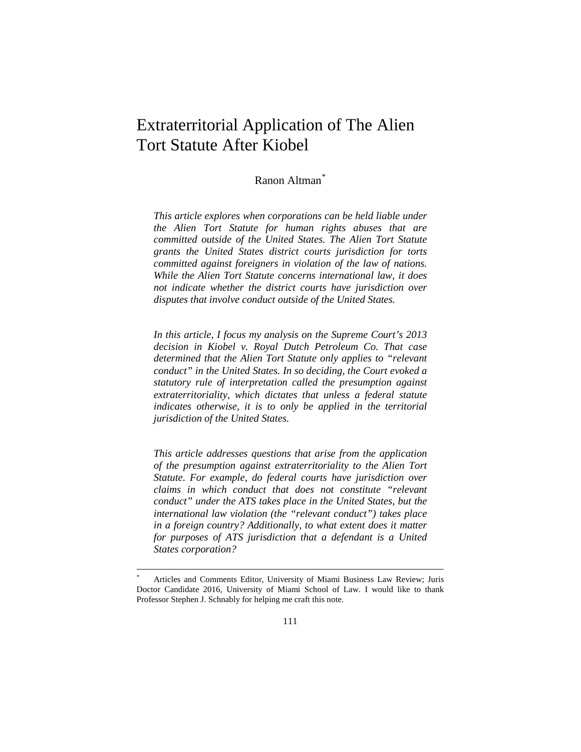# Extraterritorial Application of The Alien Tort Statute After Kiobel

# Ranon Altman[\\*](#page-1-0)

*This article explores when corporations can be held liable under the Alien Tort Statute for human rights abuses that are committed outside of the United States. The Alien Tort Statute grants the United States district courts jurisdiction for torts committed against foreigners in violation of the law of nations. While the Alien Tort Statute concerns international law, it does not indicate whether the district courts have jurisdiction over disputes that involve conduct outside of the United States.*

*In this article, I focus my analysis on the Supreme Court's 2013 decision in Kiobel v. Royal Dutch Petroleum Co. That case determined that the Alien Tort Statute only applies to "relevant conduct" in the United States. In so deciding, the Court evoked a statutory rule of interpretation called the presumption against extraterritoriality, which dictates that unless a federal statute indicates otherwise, it is to only be applied in the territorial jurisdiction of the United States.*

*This article addresses questions that arise from the application of the presumption against extraterritoriality to the Alien Tort Statute. For example, do federal courts have jurisdiction over claims in which conduct that does not constitute "relevant conduct" under the ATS takes place in the United States, but the international law violation (the "relevant conduct") takes place in a foreign country? Additionally, to what extent does it matter*  for purposes of ATS jurisdiction that a defendant is a United *States corporation?*

<span id="page-1-0"></span>Articles and Comments Editor, University of Miami Business Law Review; Juris Doctor Candidate 2016, University of Miami School of Law. I would like to thank Professor Stephen J. Schnably for helping me craft this note.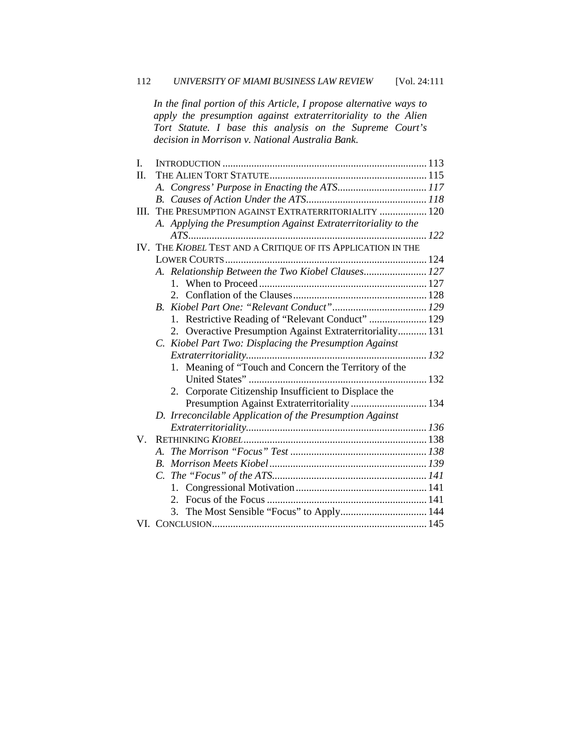*In the final portion of this Article, I propose alternative ways to apply the presumption against extraterritoriality to the Alien Tort Statute. I base this analysis on the Supreme Court's decision in Morrison v. National Australia Bank.*

| I.      |                                                                |  |
|---------|----------------------------------------------------------------|--|
| II.     |                                                                |  |
|         |                                                                |  |
|         |                                                                |  |
| III.    | THE PRESUMPTION AGAINST EXTRATERRITORIALITY  120               |  |
|         | A. Applying the Presumption Against Extraterritoriality to the |  |
|         |                                                                |  |
|         | IV. THE KIOBEL TEST AND A CRITIQUE OF ITS APPLICATION IN THE   |  |
|         |                                                                |  |
|         | A. Relationship Between the Two Kiobel Clauses 127             |  |
|         |                                                                |  |
|         |                                                                |  |
|         |                                                                |  |
|         | 1. Restrictive Reading of "Relevant Conduct"  129              |  |
|         | 2. Overactive Presumption Against Extraterritoriality 131      |  |
|         | C. Kiobel Part Two: Displacing the Presumption Against         |  |
|         |                                                                |  |
|         | 1. Meaning of "Touch and Concern the Territory of the          |  |
|         |                                                                |  |
|         | Corporate Citizenship Insufficient to Displace the<br>2.       |  |
|         | Presumption Against Extraterritoriality 134                    |  |
|         | D. Irreconcilable Application of the Presumption Against       |  |
|         |                                                                |  |
| $V_{-}$ |                                                                |  |
|         |                                                                |  |
|         |                                                                |  |
|         |                                                                |  |
|         |                                                                |  |
|         |                                                                |  |
|         |                                                                |  |
|         |                                                                |  |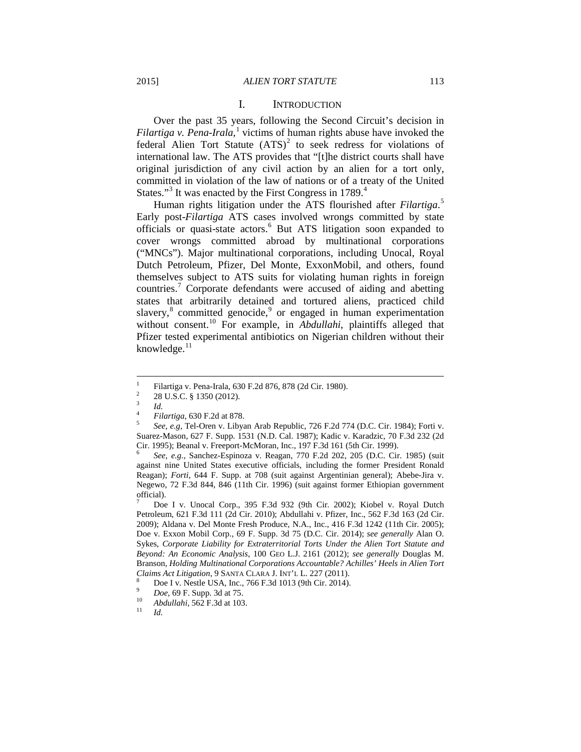#### I. INTRODUCTION

Over the past 35 years, following the Second Circuit's decision in *Filartiga v. Pena-Irala*,<sup>[1](#page-3-0)</sup> victims of human rights abuse have invoked the federal Alien Tort Statute  $(ATS)^2$  $(ATS)^2$  to seek redress for violations of international law. The ATS provides that "[t]he district courts shall have original jurisdiction of any civil action by an alien for a tort only, committed in violation of the law of nations or of a treaty of the United States."<sup>[3](#page-3-2)</sup> It was enacted by the First Congress in  $1789$ .<sup>[4](#page-3-3)</sup>

Human rights litigation under the ATS flourished after *Filartiga*. [5](#page-3-4) Early post-*Filartiga* ATS cases involved wrongs committed by state officials or quasi-state actors.<sup>[6](#page-3-5)</sup> But ATS litigation soon expanded to cover wrongs committed abroad by multinational corporations ("MNCs"). Major multinational corporations, including Unocal, Royal Dutch Petroleum, Pfizer, Del Monte, ExxonMobil, and others, found themselves subject to ATS suits for violating human rights in foreign countries.[7](#page-3-6) Corporate defendants were accused of aiding and abetting states that arbitrarily detained and tortured aliens, practiced child slavery, $8$  committed genocide, $9$  or engaged in human experimentation without consent.<sup>[10](#page-3-9)</sup> For example, in *Abdullahi*, plaintiffs alleged that Pfizer tested experimental antibiotics on Nigerian children without their knowledge. $<sup>11</sup>$  $<sup>11</sup>$  $<sup>11</sup>$ </sup>

<span id="page-3-5"></span>against nine United States executive officials, including the former President Ronald Reagan); *Forti*, 644 F. Supp. at 708 (suit against Argentinian general); Abebe-Jira v. Negewo, 72 F.3d 844, 846 (11th Cir. 1996) (suit against former Ethiopian government official).

<span id="page-3-6"></span><sup>7</sup> Doe I v. Unocal Corp., 395 F.3d 932 (9th Cir. 2002); Kiobel v. Royal Dutch Petroleum, 621 F.3d 111 (2d Cir. 2010); Abdullahi v. Pfizer, Inc., 562 F.3d 163 (2d Cir. 2009); Aldana v. Del Monte Fresh Produce, N.A., Inc., 416 F.3d 1242 (11th Cir. 2005); Doe v. Exxon Mobil Corp., 69 F. Supp. 3d 75 (D.C. Cir. 2014); *see generally* Alan O. Sykes, *Corporate Liability for Extraterritorial Torts Under the Alien Tort Statute and Beyond: An Economic Analysis*, 100 GEO L.J. 2161 (2012); *see generally* Douglas M. Branson, *Holding Multinational Corporations Accountable? Achilles' Heels in Alien Tort*

<span id="page-3-3"></span><span id="page-3-2"></span>

<span id="page-3-4"></span>

<span id="page-3-1"></span><span id="page-3-0"></span><sup>&</sup>lt;sup>1</sup><br>
Filartiga v. Pena-Irala, 630 F.2d 876, 878 (2d Cir. 1980).<br>
<sup>2</sup><br>
<sup>2</sup><br> *A.*<br> *Id.*<br> *Eilartiga*, 630 F.2d at 878.<br> *See, e.g*, Tel-Oren v. Libyan Arab Republic, 726 F.2d 774 (D.C. Cir. 1984); Forti v. Suarez-Mason, 627 F. Supp. 1531 (N.D. Cal. 1987); Kadic v. Karadzic, 70 F.3d 232 (2d Cir. 1995); Beanal v. Freeport-McMoran, Inc., 197 F.3d 161 (5th Cir. 1999). <sup>6</sup> *See, e.g.*, Sanchez-Espinoza v. Reagan, 770 F.2d 202, 205 (D.C. Cir. 1985) (suit

<span id="page-3-7"></span>Claims Act Litigation, 9 SANTA CLARA J. INT'L L. 227 (2011).<br>
<sup>8</sup> Doe I v. Nestle USA, Inc., 766 F.3d 1013 (9th Cir. 2014).<br>
<sup>9</sup> Doe, 69 F. Supp. 3d at 75.<br>
<sup>10</sup> Abdullahi, 562 F.3d at 103.<br>
<sup>11</sup> Id.

<span id="page-3-10"></span><span id="page-3-9"></span><span id="page-3-8"></span>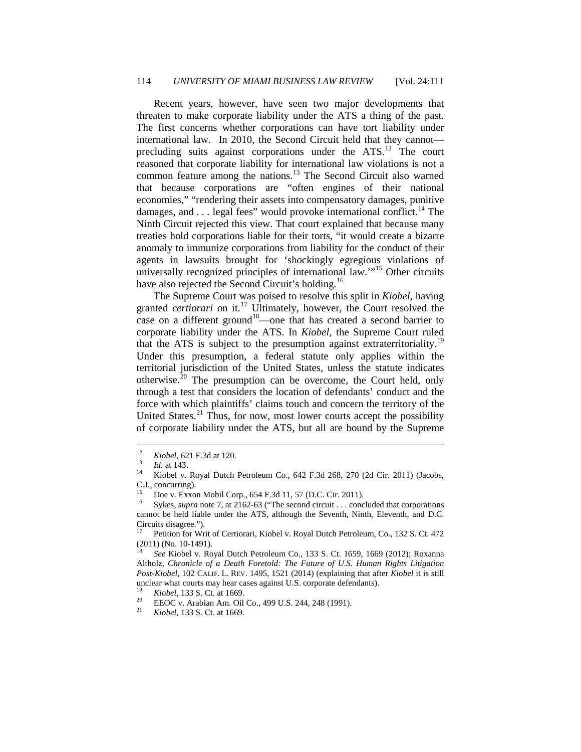Recent years, however, have seen two major developments that threaten to make corporate liability under the ATS a thing of the past. The first concerns whether corporations can have tort liability under international law. In 2010, the Second Circuit held that they cannot— precluding suits against corporations under the ATS.<sup>[12](#page-4-0)</sup> The court reasoned that corporate liability for international law violations is not a common feature among the nations.<sup>[13](#page-4-1)</sup> The Second Circuit also warned that because corporations are "often engines of their national economies," "rendering their assets into compensatory damages, punitive damages, and  $\ldots$  legal fees" would provoke international conflict.<sup>[14](#page-4-2)</sup> The Ninth Circuit rejected this view. That court explained that because many treaties hold corporations liable for their torts, "it would create a bizarre anomaly to immunize corporations from liability for the conduct of their agents in lawsuits brought for 'shockingly egregious violations of universally recognized principles of international law."<sup>[15](#page-4-3)</sup> Other circuits have also rejected the Second Circuit's holding.<sup>[16](#page-4-4)</sup>

The Supreme Court was poised to resolve this split in *Kiobel*, having granted *certiorari* on it.<sup>[17](#page-4-5)</sup> Ultimately, however, the Court resolved the case on a different ground<sup>[18](#page-4-6)</sup>—one that has created a second barrier to corporate liability under the ATS. In *Kiobel*, the Supreme Court ruled that the ATS is subject to the presumption against extraterritoriality.<sup>[19](#page-4-7)</sup> Under this presumption, a federal statute only applies within the territorial jurisdiction of the United States, unless the statute indicates otherwise.<sup>[20](#page-4-8)</sup> The presumption can be overcome, the Court held, only through a test that considers the location of defendants' conduct and the force with which plaintiffs' claims touch and concern the territory of the United States. $21$  Thus, for now, most lower courts accept the possibility of corporate liability under the ATS, but all are bound by the Supreme

<span id="page-4-7"></span>

<span id="page-4-8"></span>

<span id="page-4-9"></span>

<span id="page-4-1"></span><span id="page-4-0"></span><sup>12</sup> *Kiobel*, 621 F.3d at 120.<br>
13 *Id.* at 143.<br>
<sup>14</sup> Kiobel v. Royal Dutch Petroleum Co., 642 F.3d 268, 270 (2d Cir. 2011) (Jacobs, C.J., concurring).

<span id="page-4-4"></span><span id="page-4-3"></span><span id="page-4-2"></span><sup>&</sup>lt;sup>15</sup> Doe v. Exxon Mobil Corp., 654 F.3d 11, 57 (D.C. Cir. 2011).<br><sup>16</sup> Sykes, *supra* note 7, at 2162-63 ("The second circuit . . . concluded that corporations cannot be held liable under the ATS, although the Seventh, Ninth, Eleventh, and D.C. Circuits disagree."). <sup>17</sup> Petition for Writ of Certiorari, Kiobel v. Royal Dutch Petroleum, Co., 132 S. Ct. 472

<span id="page-4-5"></span><sup>(2011) (</sup>No. 10-1491). <sup>18</sup> *See* Kiobel v. Royal Dutch Petroleum Co., 133 S. Ct. 1659, 1669 (2012); Roxanna

<span id="page-4-6"></span>Altholz, *Chronicle of a Death Foretold: The Future of U.S. Human Rights Litigation Post-Kiobel*, 102 CALIF. L. REV. 1495, 1521 (2014) (explaining that after *Kiobel* it is still unclear what courts may hear cases against U.S. corporate defendants).<br>
<sup>19</sup> *Kiobel*, 133 S. Ct. at 1669.<br>
<sup>21</sup> *Kiobel*, 133 S. Ct. at 1669.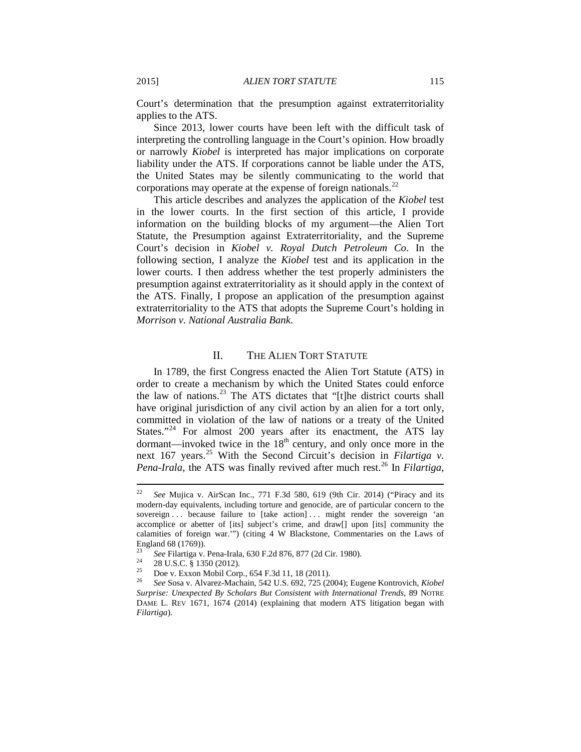Court's determination that the presumption against extraterritoriality applies to the ATS.

Since 2013, lower courts have been left with the difficult task of interpreting the controlling language in the Court's opinion. How broadly or narrowly *Kiobel* is interpreted has major implications on corporate liability under the ATS. If corporations cannot be liable under the ATS, the United States may be silently communicating to the world that corporations may operate at the expense of foreign nationals. $^{22}$  $^{22}$  $^{22}$ 

This article describes and analyzes the application of the *Kiobel* test in the lower courts. In the first section of this article, I provide information on the building blocks of my argument—the Alien Tort Statute, the Presumption against Extraterritoriality, and the Supreme Court's decision in *Kiobel v. Royal Dutch Petroleum Co*. In the following section, I analyze the *Kiobel* test and its application in the lower courts. I then address whether the test properly administers the presumption against extraterritoriality as it should apply in the context of the ATS. Finally, I propose an application of the presumption against extraterritoriality to the ATS that adopts the Supreme Court's holding in *Morrison v. National Australia Bank*.

### II. THE ALIEN TORT STATUTE

In 1789, the first Congress enacted the Alien Tort Statute (ATS) in order to create a mechanism by which the United States could enforce the law of nations.<sup>[23](#page-5-1)</sup> The ATS dictates that "[t]he district courts shall have original jurisdiction of any civil action by an alien for a tort only, committed in violation of the law of nations or a treaty of the United States."<sup>[24](#page-5-2)</sup> For almost 200 years after its enactment, the ATS lay dormant—invoked twice in the  $18<sup>th</sup>$  century, and only once more in the next 167 years.<sup>[25](#page-5-3)</sup> With the Second Circuit's decision in *Filartiga v. Pena-Irala*, the ATS was finally revived after much rest.<sup>[26](#page-5-4)</sup> In *Filartiga*,

<span id="page-5-0"></span> <sup>22</sup> *See* Mujica v. AirScan Inc., 771 F.3d 580, 619 (9th Cir. 2014) ("Piracy and its modern-day equivalents, including torture and genocide, are of particular concern to the sovereign . . . because failure to [take action] . . . might render the sovereign 'an accomplice or abetter of [its] subject's crime, and draw[] upon [its] community the calamities of foreign war.'") (citing 4 W Blackstone, Commentaries on the Laws of England 68 (1769)).

<span id="page-5-4"></span>

<span id="page-5-3"></span><span id="page-5-2"></span><span id="page-5-1"></span><sup>&</sup>lt;sup>23</sup> See Filartiga v. Pena-Irala, 630 F.2d 876, 877 (2d Cir. 1980).<br>
<sup>24</sup> 28 U.S.C. § 1350 (2012).<br>
<sup>25</sup> Doe v. Exxon Mobil Corp., 654 F.3d 11, 18 (2011).<br>
<sup>26</sup> See Sosa v. Alvarez-Machain, 542 U.S. 692, 725 (2004); Eugen *Surprise: Unexpected By Scholars But Consistent with International Trends*, 89 NOTRE DAME L. REV 1671, 1674 (2014) (explaining that modern ATS litigation began with *Filartiga*).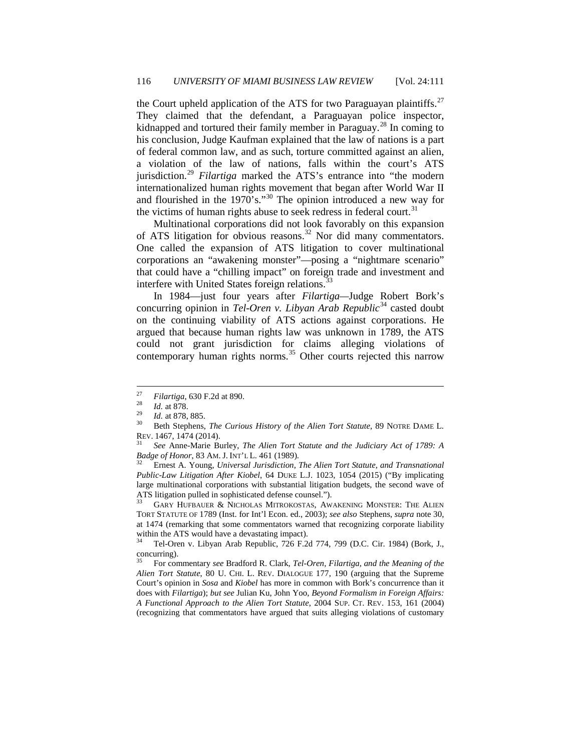the Court upheld application of the ATS for two Paraguayan plaintiffs.<sup>[27](#page-6-0)</sup> They claimed that the defendant, a Paraguayan police inspector, kidnapped and tortured their family member in Paraguay.<sup>[28](#page-6-1)</sup> In coming to his conclusion, Judge Kaufman explained that the law of nations is a part of federal common law, and as such, torture committed against an alien, a violation of the law of nations, falls within the court's ATS jurisdiction.[29](#page-6-2) *Filartiga* marked the ATS's entrance into "the modern internationalized human rights movement that began after World War II and flourished in the 1970's."[30](#page-6-3) The opinion introduced a new way for the victims of human rights abuse to seek redress in federal court.<sup>[31](#page-6-4)</sup>

Multinational corporations did not look favorably on this expansion of ATS litigation for obvious reasons.<sup>[32](#page-6-5)</sup> Nor did many commentators. One called the expansion of ATS litigation to cover multinational corporations an "awakening monster"—posing a "nightmare scenario" that could have a "chilling impact" on foreign trade and investment and interfere with United States foreign relations.<sup>[33](#page-6-6)</sup>

In 1984—just four years after *Filartiga—*Judge Robert Bork's concurring opinion in *Tel-Oren v. Libyan Arab Republic*<sup>[34](#page-6-7)</sup> casted doubt on the continuing viability of ATS actions against corporations. He argued that because human rights law was unknown in 1789, the ATS could not grant jurisdiction for claims alleging violations of contemporary human rights norms.<sup>[35](#page-6-8)</sup> Other courts rejected this narrow

<span id="page-6-3"></span>

<span id="page-6-2"></span><span id="page-6-1"></span><span id="page-6-0"></span><sup>&</sup>lt;sup>27</sup> *Filartiga*, 630 F.2d at 890.<br><sup>28</sup> *Id.* at 878. <br><sup>29</sup> *Id.* at 878, 885. <br><sup>30</sup> Beth Stephens, *The Curious History of the Alien Tort Statute*, 89 NOTRE DAME L. REV. 1467, 1474 (2014). <sup>31</sup> *See* Anne-Marie Burley, *The Alien Tort Statute and the Judiciary Act of 1789: A* 

<span id="page-6-4"></span>*Badge of Honor*, 83 AM. J. INT'L L. 461 (1989). <sup>32</sup> Ernest A. Young, *Universal Jurisdiction, The Alien Tort Statute, and Transnational* 

<span id="page-6-5"></span>*Public-Law Litigation After Kiobel*, 64 DUKE L.J. 1023, 1054 (2015) ("By implicating large multinational corporations with substantial litigation budgets, the second wave of ATS litigation pulled in sophisticated defense counsel.").

<span id="page-6-6"></span>GARY HUFBAUER & NICHOLAS MITROKOSTAS, AWAKENING MONSTER: THE ALIEN TORT STATUTE OF 1789 (Inst. for Int'l Econ. ed., 2003); *see also* Stephens, *supra* note 30, at 1474 (remarking that some commentators warned that recognizing corporate liability within the ATS would have a devastating impact).

<span id="page-6-7"></span><sup>34</sup> Tel-Oren v. Libyan Arab Republic, 726 F.2d 774, 799 (D.C. Cir. 1984) (Bork, J., concurring).

<span id="page-6-8"></span><sup>35</sup> For commentary *see* Bradford R. Clark, *Tel-Oren, Filartiga, and the Meaning of the Alien Tort Statute*, 80 U. CHI. L. REV. DIALOGUE 177, 190 (arguing that the Supreme Court's opinion in *Sosa* and *Kiobel* has more in common with Bork's concurrence than it does with *Filartiga*); *but see* Julian Ku, John Yoo, *Beyond Formalism in Foreign Affairs: A Functional Approach to the Alien Tort Statute*, 2004 SUP. CT. REV. 153, 161 (2004) (recognizing that commentators have argued that suits alleging violations of customary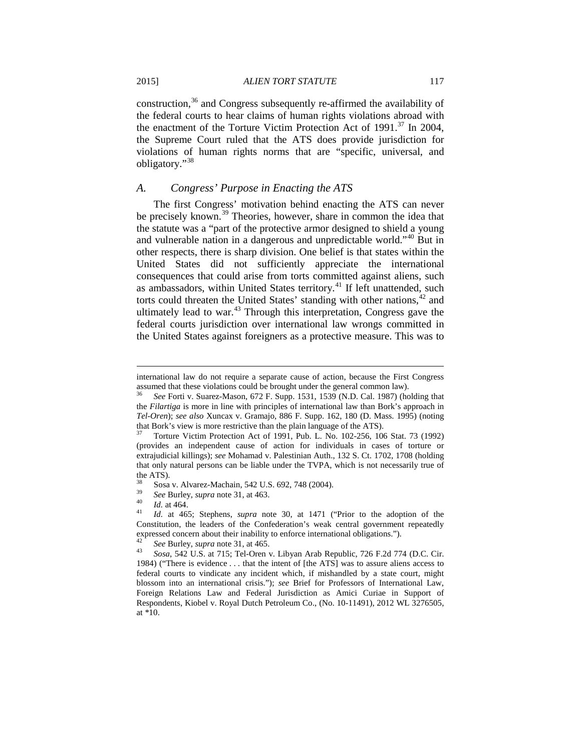construction, $36$  and Congress subsequently re-affirmed the availability of the federal courts to hear claims of human rights violations abroad with the enactment of the Torture Victim Protection Act of  $1991$ .<sup>[37](#page-7-1)</sup> In 2004, the Supreme Court ruled that the ATS does provide jurisdiction for violations of human rights norms that are "specific, universal, and obligatory."[38](#page-7-2)

#### *A. Congress' Purpose in Enacting the ATS*

The first Congress' motivation behind enacting the ATS can never be precisely known.<sup>[39](#page-7-3)</sup> Theories, however, share in common the idea that the statute was a "part of the protective armor designed to shield a young and vulnerable nation in a dangerous and unpredictable world."[40](#page-7-4) But in other respects, there is sharp division. One belief is that states within the United States did not sufficiently appreciate the international consequences that could arise from torts committed against aliens, such as ambassadors, within United States territory.<sup>[41](#page-7-5)</sup> If left unattended, such torts could threaten the United States' standing with other nations,<sup>[42](#page-7-6)</sup> and ultimately lead to war. $43$  Through this interpretation, Congress gave the federal courts jurisdiction over international law wrongs committed in the United States against foreigners as a protective measure. This was to

<span id="page-7-5"></span>

international law do not require a separate cause of action, because the First Congress assumed that these violations could be brought under the general common law).

<span id="page-7-0"></span><sup>36</sup> *See* Forti v. Suarez-Mason, 672 F. Supp. 1531, 1539 (N.D. Cal. 1987) (holding that the *Filartiga* is more in line with principles of international law than Bork's approach in *Tel-Oren*); *see also* Xuncax v. Gramajo, 886 F. Supp. 162, 180 (D. Mass. 1995) (noting that Bork's view is more restrictive than the plain language of the ATS).<br><sup>37</sup> Torture Victim Protection Act of 1991, Pub. L. No. 102-256, 106 Stat. 73 (1992)

<span id="page-7-1"></span><sup>(</sup>provides an independent cause of action for individuals in cases of torture or extrajudicial killings); *see* Mohamad v. Palestinian Auth., 132 S. Ct. 1702, 1708 (holding that only natural persons can be liable under the TVPA, which is not necessarily true of the ATS).

<span id="page-7-4"></span>

<span id="page-7-3"></span><span id="page-7-2"></span><sup>38</sup> Sosa v. Alvarez-Machain, 542 U.S. 692, 748 (2004). <sup>39</sup> *See* Burley, *supra* note 31, at 463. <sup>40</sup> *Id.* at 464. <sup>41</sup> *Id.* at 465; Stephens, *supra* note 30, at 1471 ("Prior to the adoption of the Constitution, the leaders of the Confederation's weak central government repeatedly expressed concern about their inability to enforce international obligations.").<br><sup>42</sup> *See* Burley, *supra* note 31, at 465.<br><sup>43</sup> *Sosa*, 542 U.S. at 715; Tel-Oren v. Libyan Arab Republic, 726 F.2d 774 (D.C. Cir.

<span id="page-7-7"></span><span id="page-7-6"></span><sup>1984) (&</sup>quot;There is evidence . . . that the intent of [the ATS] was to assure aliens access to federal courts to vindicate any incident which, if mishandled by a state court, might blossom into an international crisis."); *see* Brief for Professors of International Law, Foreign Relations Law and Federal Jurisdiction as Amici Curiae in Support of Respondents, Kiobel v. Royal Dutch Petroleum Co., (No. 10-11491), 2012 WL 3276505, at \*10.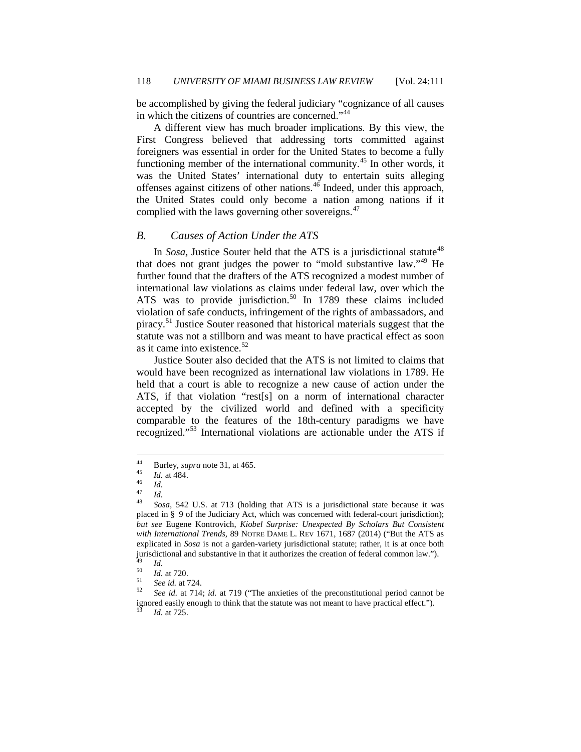be accomplished by giving the federal judiciary "cognizance of all causes in which the citizens of countries are concerned."<sup>[44](#page-8-0)</sup>

A different view has much broader implications. By this view, the First Congress believed that addressing torts committed against foreigners was essential in order for the United States to become a fully functioning member of the international community.[45](#page-8-1) In other words, it was the United States' international duty to entertain suits alleging offenses against citizens of other nations. $46$  Indeed, under this approach, the United States could only become a nation among nations if it complied with the laws governing other sovereigns. $47$ 

#### *B. Causes of Action Under the ATS*

In *Sosa*, Justice Souter held that the ATS is a jurisdictional statute<sup>[48](#page-8-4)</sup> that does not grant judges the power to "mold substantive law."<sup>[49](#page-8-5)</sup> He further found that the drafters of the ATS recognized a modest number of international law violations as claims under federal law, over which the ATS was to provide jurisdiction.<sup>[50](#page-8-6)</sup> In 1789 these claims included violation of safe conducts, infringement of the rights of ambassadors, and piracy.[51](#page-8-7) Justice Souter reasoned that historical materials suggest that the statute was not a stillborn and was meant to have practical effect as soon as it came into existence. $52$ 

Justice Souter also decided that the ATS is not limited to claims that would have been recognized as international law violations in 1789. He held that a court is able to recognize a new cause of action under the ATS, if that violation "rest[s] on a norm of international character accepted by the civilized world and defined with a specificity comparable to the features of the 18th-century paradigms we have recognized."[53](#page-8-9) International violations are actionable under the ATS if

<span id="page-8-3"></span>

<span id="page-8-4"></span>

<span id="page-8-2"></span><span id="page-8-1"></span><span id="page-8-0"></span><sup>44</sup> Burley, *supra* note 31, at 465.<br>
45 *Id.*<br>
47 *Id.*<br>
48 *Sosa*, 542 U.S. at 713 (holding that ATS is a jurisdictional state because it was placed in § 9 of the Judiciary Act, which was concerned with federal-court jurisdiction); *but see* Eugene Kontrovich, *Kiobel Surprise: Unexpected By Scholars But Consistent with International Trends*, 89 NOTRE DAME L. REV 1671, 1687 (2014) ("But the ATS as explicated in *Sosa* is not a garden-variety jurisdictional statute; rather, it is at once both jurisdictional and substantive in that it authorizes the creation of federal common law.").<br>
<sup>49</sup> *Id.*<br>
<sup>50</sup> *Id.* at 720.<br> *See id.* at 724.<br> *See id.* at 714; *id.* at 719 ("The anxieties of the preconstitutional perio

<span id="page-8-6"></span><span id="page-8-5"></span>

<span id="page-8-9"></span><span id="page-8-8"></span><span id="page-8-7"></span>ignored easily enough to think that the statute was not meant to have practical effect."). <sup>53</sup> *Id.* at 725.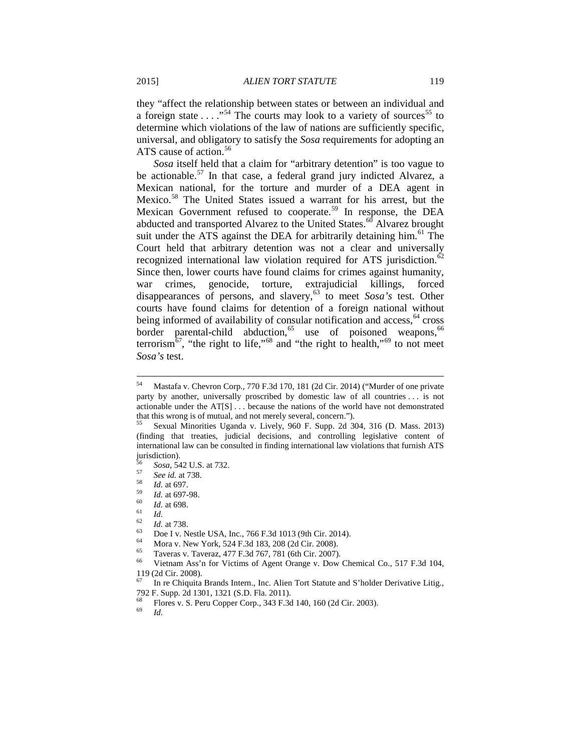they "affect the relationship between states or between an individual and a foreign state . . . . . . . . . The courts may look to a variety of sources<sup>[55](#page-9-1)</sup> to determine which violations of the law of nations are sufficiently specific, universal, and obligatory to satisfy the *Sosa* requirements for adopting an ATS cause of action.<sup>[56](#page-9-2)</sup>

*Sosa* itself held that a claim for "arbitrary detention" is too vague to be actionable.<sup>[57](#page-9-3)</sup> In that case, a federal grand jury indicted Alvarez, a Mexican national, for the torture and murder of a DEA agent in Mexico.[58](#page-9-4) The United States issued a warrant for his arrest, but the Mexican Government refused to cooperate.<sup>[59](#page-9-5)</sup> In response, the DEA abducted and transported Alvarez to the United States.<sup>[60](#page-9-6)</sup> Alvarez brought suit under the ATS against the DEA for arbitrarily detaining him.<sup>[61](#page-9-7)</sup> The Court held that arbitrary detention was not a clear and universally recognized international law violation required for ATS jurisdiction.<sup>[62](#page-9-8)</sup> Since then, lower courts have found claims for crimes against humanity, war crimes, genocide, torture, extrajudicial killings, forced disappearances of persons, and slavery,<sup>[63](#page-9-9)</sup> to meet *Sosa's* test. Other courts have found claims for detention of a foreign national without being informed of availability of consular notification and access,  $64$  cross border parental-child abduction,<sup>[65](#page-9-11)</sup> use of poisoned weapons,<sup>[66](#page-9-12)</sup> terrorism<sup>67</sup>, "the right to life,"<sup>[68](#page-9-14)</sup> and "the right to health,"<sup>[69](#page-9-15)</sup> to not meet *Sosa's* test.

<span id="page-9-9"></span><span id="page-9-8"></span>

<span id="page-9-0"></span> <sup>54</sup> Mastafa v. Chevron Corp., 770 F.3d 170, 181 (2d Cir. 2014) ("Murder of one private party by another, universally proscribed by domestic law of all countries . . . is not actionable under the AT[S] . . . because the nations of the world have not demonstrated that this wrong is of mutual, and not merely several, concern.").<br>
<sup>55</sup> Sexual Minorities Uganda v. Lively, 960 F. Supp. 2d 304, 316 (D. Mass. 2013)

<span id="page-9-1"></span><sup>(</sup>finding that treaties, judicial decisions, and controlling legislative content of international law can be consulted in finding international law violations that furnish ATS jurisdiction).<br> $56$  Sosa, 542 U.S. at 732.

<span id="page-9-3"></span><span id="page-9-2"></span>

<span id="page-9-4"></span>

<span id="page-9-7"></span><span id="page-9-6"></span><span id="page-9-5"></span>

<span id="page-9-10"></span>

<sup>&</sup>lt;sup>56</sup> Sosa, 542 U.S. at 732.<br>
<sup>57</sup> See id. at 738.<br>
<sup>58</sup> Id. at 697.<br>
<sup>69</sup> Id. at 698.<br>
<sup>61</sup> Id.<br>
<sup>62</sup> Id. at 738.<br>
Doe I v. Nestle USA, Inc., 766 F.3d 1013 (9th Cir. 2014).<br>
<sup>64</sup> Mora v. New York, 524 F.3d 183, 208 (2d Cir

<span id="page-9-12"></span><span id="page-9-11"></span><sup>119 (2</sup>d Cir. 2008).

<span id="page-9-13"></span><sup>67</sup> In re Chiquita Brands Intern., Inc. Alien Tort Statute and S'holder Derivative Litig., 792 F. Supp. 2d 1301, 1321 (S.D. Fla. 2011).

<span id="page-9-15"></span><span id="page-9-14"></span><sup>&</sup>lt;sup>68</sup> Flores v. S. Peru Copper Corp., 343 F.3d 140, 160 (2d Cir. 2003).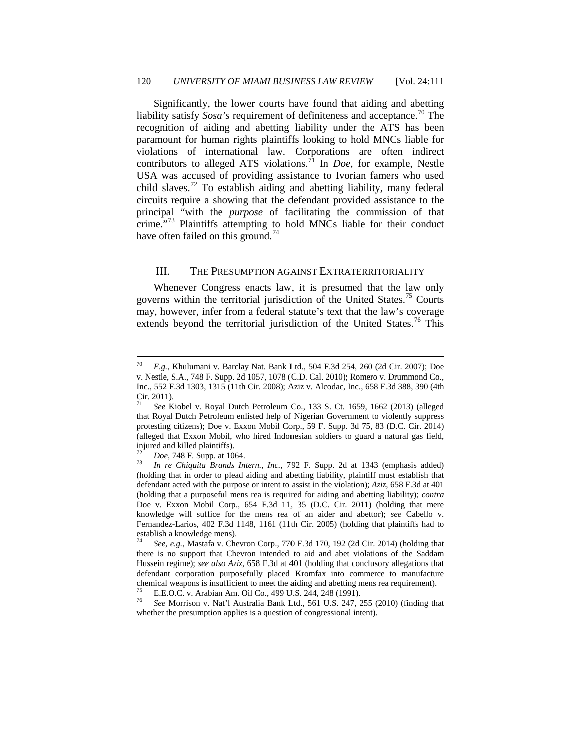Significantly, the lower courts have found that aiding and abetting liability satisfy *Sosa's* requirement of definiteness and acceptance.<sup>[70](#page-10-0)</sup> The recognition of aiding and abetting liability under the ATS has been paramount for human rights plaintiffs looking to hold MNCs liable for violations of international law. Corporations are often indirect contributors to alleged ATS violations.<sup>[71](#page-10-1)</sup> In *Doe*, for example, Nestle USA was accused of providing assistance to Ivorian famers who used child slaves.<sup>[72](#page-10-2)</sup> To establish aiding and abetting liability, many federal circuits require a showing that the defendant provided assistance to the principal "with the *purpose* of facilitating the commission of that crime."[73](#page-10-3) Plaintiffs attempting to hold MNCs liable for their conduct have often failed on this ground.<sup>[74](#page-10-4)</sup>

#### III. THE PRESUMPTION AGAINST EXTRATERRITORIALITY

Whenever Congress enacts law, it is presumed that the law only governs within the territorial jurisdiction of the United States.<sup>[75](#page-10-5)</sup> Courts may, however, infer from a federal statute's text that the law's coverage extends beyond the territorial jurisdiction of the United States.<sup>[76](#page-10-6)</sup> This

<span id="page-10-0"></span> <sup>70</sup> *E.g.*, Khulumani v. Barclay Nat. Bank Ltd., 504 F.3d 254, 260 (2d Cir. 2007); Doe v. Nestle, S.A., 748 F. Supp. 2d 1057, 1078 (C.D. Cal. 2010); Romero v. Drummond Co., Inc., 552 F.3d 1303, 1315 (11th Cir. 2008); Aziz v. Alcodac, Inc., 658 F.3d 388, 390 (4th Cir. 2011).

<span id="page-10-1"></span><sup>71</sup> *See* Kiobel v. Royal Dutch Petroleum Co., 133 S. Ct. 1659, 1662 (2013) (alleged that Royal Dutch Petroleum enlisted help of Nigerian Government to violently suppress protesting citizens); Doe v. Exxon Mobil Corp., 59 F. Supp. 3d 75, 83 (D.C. Cir. 2014) (alleged that Exxon Mobil, who hired Indonesian soldiers to guard a natural gas field, injured and killed plaintiffs).<br><sup>72</sup> *Doe*, 748 F. Supp. at 1064.<br><sup>73</sup> *In re Chiquita Brands Intern., Inc.*, 792 F. Supp. 2d at 1343 (emphasis added)

<span id="page-10-3"></span><span id="page-10-2"></span><sup>(</sup>holding that in order to plead aiding and abetting liability, plaintiff must establish that defendant acted with the purpose or intent to assist in the violation); *Aziz*, 658 F.3d at 401 (holding that a purposeful mens rea is required for aiding and abetting liability); *contra* Doe v. Exxon Mobil Corp., 654 F.3d 11, 35 (D.C. Cir. 2011) (holding that mere knowledge will suffice for the mens rea of an aider and abettor); *see* Cabello v. Fernandez-Larios, 402 F.3d 1148, 1161 (11th Cir. 2005) (holding that plaintiffs had to establish a knowledge mens).

<span id="page-10-4"></span><sup>74</sup> *See, e.g.*, Mastafa v. Chevron Corp.*,* 770 F.3d 170, 192 (2d Cir. 2014) (holding that there is no support that Chevron intended to aid and abet violations of the Saddam Hussein regime); *see also Aziz*, 658 F.3d at 401 (holding that conclusory allegations that defendant corporation purposefully placed Kromfax into commerce to manufacture chemical weapons is insufficient to meet the aiding and abetting mens rea requirement).<br>
<sup>75</sup> E.E.O.C. v. Arabian Am. Oil Co., 499 U.S. 244, 248 (1991).<br>
<sup>76</sup> See Morrison v. Nat'l Australia Bank Ltd., 561 U.S. 247, 255 (2

<span id="page-10-6"></span><span id="page-10-5"></span>whether the presumption applies is a question of congressional intent).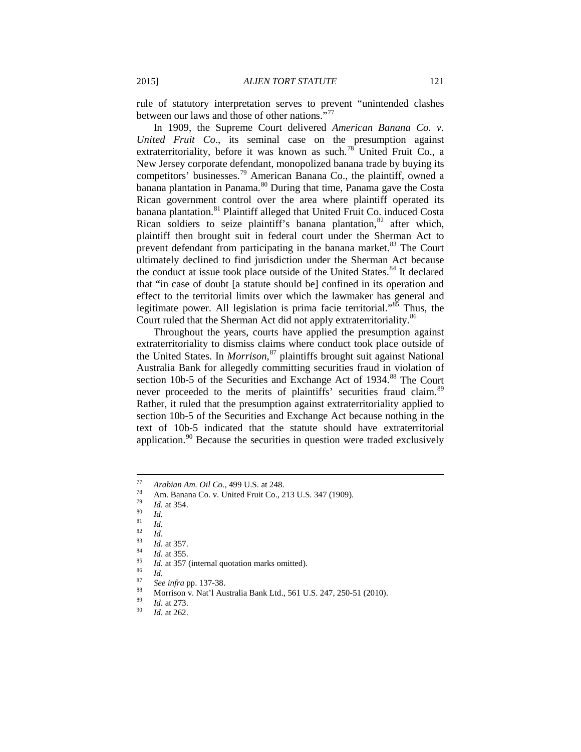rule of statutory interpretation serves to prevent "unintended clashes between our laws and those of other nations."<sup>[77](#page-11-0)</sup>

In 1909, the Supreme Court delivered *American Banana Co. v. United Fruit Co*., its seminal case on the presumption against extraterritoriality, before it was known as such.<sup>[78](#page-11-1)</sup> United Fruit Co., a New Jersey corporate defendant, monopolized banana trade by buying its competitors' businesses.[79](#page-11-2) American Banana Co., the plaintiff, owned a banana plantation in Panama.<sup>[80](#page-11-3)</sup> During that time, Panama gave the Costa Rican government control over the area where plaintiff operated its banana plantation.<sup>[81](#page-11-4)</sup> Plaintiff alleged that United Fruit Co. induced Costa Rican soldiers to seize plaintiff's banana plantation, $82$  after which, plaintiff then brought suit in federal court under the Sherman Act to prevent defendant from participating in the banana market.<sup>[83](#page-11-6)</sup> The Court ultimately declined to find jurisdiction under the Sherman Act because the conduct at issue took place outside of the United States.<sup>[84](#page-11-7)</sup> It declared that "in case of doubt [a statute should be] confined in its operation and effect to the territorial limits over which the lawmaker has general and legitimate power. All legislation is prima facie territorial."<sup>[85](#page-11-8)</sup> Thus, the Court ruled that the Sherman Act did not apply extraterritoriality.<sup>[86](#page-11-9)</sup>

Throughout the years, courts have applied the presumption against extraterritoriality to dismiss claims where conduct took place outside of the United States. In *Morrison*, [87](#page-11-10) plaintiffs brought suit against National Australia Bank for allegedly committing securities fraud in violation of section 10b-5 of the Securities and Exchange Act of 1934.<sup>[88](#page-11-11)</sup> The Court never proceeded to the merits of plaintiffs' securities fraud claim.<sup>[89](#page-11-12)</sup> Rather, it ruled that the presumption against extraterritoriality applied to section 10b-5 of the Securities and Exchange Act because nothing in the text of 10b-5 indicated that the statute should have extraterritorial application.<sup>[90](#page-11-13)</sup> Because the securities in question were traded exclusively

- 
- <span id="page-11-10"></span><span id="page-11-9"></span>
- 
- Arabian Am. Oil Co., 499 U.S. at 248.<br>
Am. Banana Co. v. United Fruit Co., 213 U.S. 347 (1909).<br>
Id. at 354.<br>
<sup>81</sup><br>
<sup>81</sup><br>
<sup>82</sup><br>
Id. at 357.<br>
<sup>84</sup><br> *Id.* at 357.<br> *86*<br> *Ma.* at 357 (internal quotation marks omitted).<br>
<sup>86</sup>

<span id="page-11-1"></span><span id="page-11-0"></span>

<span id="page-11-4"></span><span id="page-11-3"></span><span id="page-11-2"></span>

<span id="page-11-8"></span><span id="page-11-7"></span><span id="page-11-6"></span><span id="page-11-5"></span>

<span id="page-11-13"></span><span id="page-11-12"></span><span id="page-11-11"></span>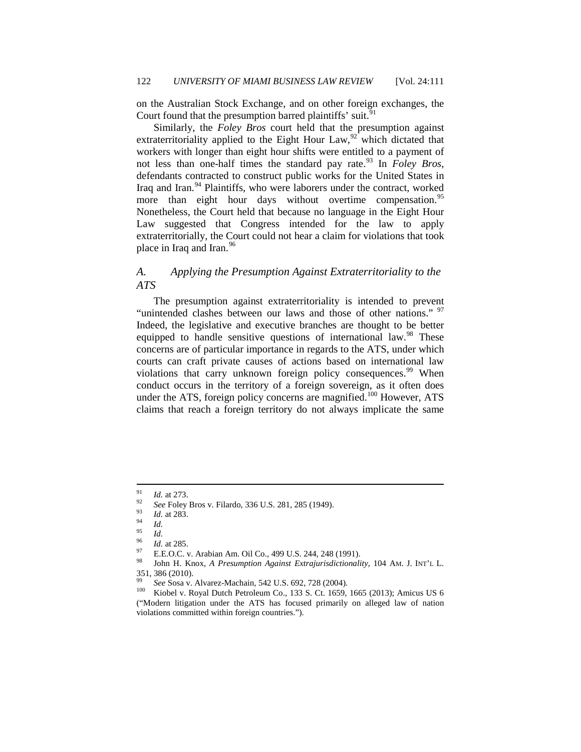on the Australian Stock Exchange, and on other foreign exchanges, the Court found that the presumption barred plaintiffs' suit.<sup>[91](#page-12-0)</sup>

Similarly, the *Foley Bros* court held that the presumption against extraterritoriality applied to the Eight Hour Law,  $92$  which dictated that workers with longer than eight hour shifts were entitled to a payment of not less than one-half times the standard pay rate.<sup>[93](#page-12-2)</sup> In *Foley Bros*, defendants contracted to construct public works for the United States in Iraq and Iran.<sup>[94](#page-12-3)</sup> Plaintiffs, who were laborers under the contract, worked more than eight hour days without overtime compensation.<sup>[95](#page-12-4)</sup> Nonetheless, the Court held that because no language in the Eight Hour Law suggested that Congress intended for the law to apply extraterritorially, the Court could not hear a claim for violations that took place in Iraq and Iran.<sup>[96](#page-12-5)</sup>

# *A. Applying the Presumption Against Extraterritoriality to the ATS*

The presumption against extraterritoriality is intended to prevent "unintended clashes between our laws and those of other nations." <sup>[97](#page-12-6)</sup> Indeed, the legislative and executive branches are thought to be better equipped to handle sensitive questions of international law.<sup>[98](#page-12-7)</sup> These concerns are of particular importance in regards to the ATS, under which courts can craft private causes of actions based on international law violations that carry unknown foreign policy consequences.<sup>[99](#page-12-8)</sup> When conduct occurs in the territory of a foreign sovereign, as it often does under the ATS, foreign policy concerns are magnified.<sup>[100](#page-12-9)</sup> However, ATS claims that reach a foreign territory do not always implicate the same

<span id="page-12-1"></span><span id="page-12-0"></span>

<span id="page-12-2"></span>

<span id="page-12-3"></span>

<span id="page-12-7"></span><span id="page-12-6"></span><span id="page-12-5"></span><span id="page-12-4"></span>

<sup>&</sup>lt;sup>91</sup> *Id.* at 273.<br>
<sup>92</sup> *See* Foley Bros v. Filardo, 336 U.S. 281, 285 (1949).<br>
<sup>93</sup> *Id.* at 283.<br>
<sup>94</sup> *Id.*<br>
<sup>95</sup> *Id.* at 285.<br>
<sup>97</sup> E.E.O.C. v. Arabian Am. Oil Co., 499 U.S. 244, 248 (1991).<br>
<sup>97</sup> John H. Knox, *A Pr* 351, 386 (2010).

<span id="page-12-9"></span><span id="page-12-8"></span><sup>&</sup>lt;sup>99</sup> *See Sosa v. Alvarez-Machain, 542 U.S. 692, 728 (2004).*<br><sup>100</sup> Kiobel v. Royal Dutch Petroleum Co., 133 S. Ct. 1659, 1665 (2013); Amicus US 6 ("Modern litigation under the ATS has focused primarily on alleged law of nation violations committed within foreign countries.").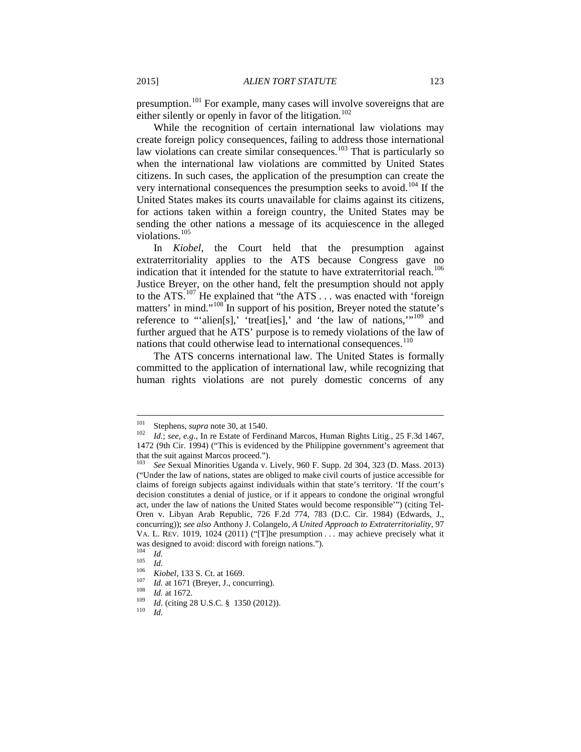presumption.<sup>[101](#page-13-0)</sup> For example, many cases will involve sovereigns that are either silently or openly in favor of the litigation.<sup>[102](#page-13-1)</sup>

While the recognition of certain international law violations may create foreign policy consequences, failing to address those international law violations can create similar consequences.<sup>[103](#page-13-2)</sup> That is particularly so when the international law violations are committed by United States citizens. In such cases, the application of the presumption can create the very international consequences the presumption seeks to avoid.<sup>[104](#page-13-3)</sup> If the United States makes its courts unavailable for claims against its citizens, for actions taken within a foreign country, the United States may be sending the other nations a message of its acquiescence in the alleged violations.<sup>[105](#page-13-4)</sup>

In *Kiobel*, the Court held that the presumption against extraterritoriality applies to the ATS because Congress gave no indication that it intended for the statute to have extraterritorial reach.<sup>[106](#page-13-5)</sup> Justice Breyer, on the other hand, felt the presumption should not apply to the ATS.<sup>[107](#page-13-6)</sup> He explained that "the ATS... was enacted with 'foreign matters' in mind."<sup>[108](#page-13-7)</sup> In support of his position, Breyer noted the statute's reference to "'alien[s],' 'treat[ies],' and 'the law of nations,"<sup>[109](#page-13-8)</sup> and further argued that he ATS' purpose is to remedy violations of the law of nations that could otherwise lead to international consequences.<sup>[110](#page-13-9)</sup>

The ATS concerns international law. The United States is formally committed to the application of international law, while recognizing that human rights violations are not purely domestic concerns of any

<span id="page-13-1"></span><span id="page-13-0"></span><sup>&</sup>lt;sup>101</sup> Stephens, *supra* note 30, at 1540.<br><sup>102</sup> *Id.*; *see, e.g.*, In re Estate of Ferdinand Marcos, Human Rights Litig., 25 F.3d 1467, 1472 (9th Cir. 1994) ("This is evidenced by the Philippine government's agreement that that the suit against Marcos proceed."). <sup>103</sup> *See* Sexual Minorities Uganda v. Lively, 960 F. Supp. 2d 304, 323 (D. Mass. 2013)

<span id="page-13-2"></span><sup>(&</sup>quot;Under the law of nations, states are obliged to make civil courts of justice accessible for claims of foreign subjects against individuals within that state's territory. 'If the court's decision constitutes a denial of justice, or if it appears to condone the original wrongful act, under the law of nations the United States would become responsible'") (citing Tel-Oren v. Libyan Arab Republic, 726 F.2d 774, 783 (D.C. Cir. 1984) (Edwards, J., concurring)); *see also* Anthony J. Colangelo, *A United Approach to Extraterritoriality*, 97 VA. L. REV. 1019, 1024 (2011) ("[T]he presumption . . . may achieve precisely what it was designed to avoid: discord with foreign nations.").<br>
<sup>104</sup> *Id.*<br> *M.*<br> *M.*<br> *Kiobel*, 133 S. Ct. at 1669.<br> *M. Infierence 1.133 S. Ct. at 1669.<br>
<i>M. Infierence 1.133 Ct.* at 1669.<br> *M. Infierence 1.188 <i>Id.* a

<span id="page-13-3"></span>

<span id="page-13-5"></span><span id="page-13-4"></span>

<span id="page-13-9"></span><span id="page-13-8"></span><span id="page-13-7"></span><span id="page-13-6"></span>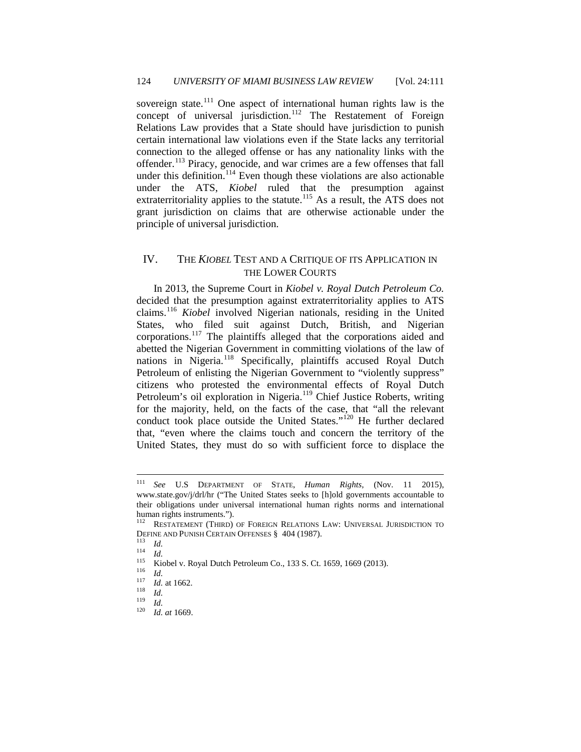sovereign state.<sup>[111](#page-14-0)</sup> One aspect of international human rights law is the concept of universal jurisdiction.<sup>[112](#page-14-1)</sup> The Restatement of Foreign Relations Law provides that a State should have jurisdiction to punish certain international law violations even if the State lacks any territorial connection to the alleged offense or has any nationality links with the offender.<sup>[113](#page-14-2)</sup> Piracy, genocide, and war crimes are a few offenses that fall under this definition.<sup>[114](#page-14-3)</sup> Even though these violations are also actionable under the ATS, *Kiobel* ruled that the presumption against extraterritoriality applies to the statute.<sup>[115](#page-14-4)</sup> As a result, the ATS does not grant jurisdiction on claims that are otherwise actionable under the principle of universal jurisdiction.

# IV. THE *KIOBEL* TEST AND A CRITIQUE OF ITS APPLICATION IN THE LOWER COURTS

In 2013, the Supreme Court in *Kiobel v. Royal Dutch Petroleum Co.* decided that the presumption against extraterritoriality applies to ATS claims.[116](#page-14-5) *Kiobel* involved Nigerian nationals, residing in the United States, who filed suit against Dutch, British, and Nigerian corporations.<sup>[117](#page-14-6)</sup> The plaintiffs alleged that the corporations aided and abetted the Nigerian Government in committing violations of the law of nations in Nigeria.<sup>[118](#page-14-7)</sup> Specifically, plaintiffs accused Royal Dutch Petroleum of enlisting the Nigerian Government to "violently suppress" citizens who protested the environmental effects of Royal Dutch Petroleum's oil exploration in Nigeria.<sup>[119](#page-14-8)</sup> Chief Justice Roberts, writing for the majority, held, on the facts of the case, that "all the relevant" conduct took place outside the United States."<sup>[120](#page-14-9)</sup> He further declared that, "even where the claims touch and concern the territory of the United States, they must do so with sufficient force to displace the

<span id="page-14-0"></span> <sup>111</sup> *See* U.S DEPARTMENT OF STATE, *Human Rights,* (Nov. 11 2015), www.state.gov/j/drl/hr ("The United States seeks to [h]old governments accountable to their obligations under universal international human rights norms and international human rights instruments.").<br><sup>112</sup> RESTATEMENT (THIRD) OF FOREIGN RELATIONS LAW: UNIVERSAL JURISDICTION TO

<span id="page-14-2"></span><span id="page-14-1"></span>DEFINE AND PUNISH CERTAIN OFFENSES § 404 (1987).<br>
<sup>113</sup> Id.<br>
<sup>114</sup> Id.<br>
<sup>115</sup> Kiobel v. Royal Dutch Petroleum Co., 133 S. Ct. 1659, 1669 (2013).<br>
<sup>116</sup> Id.<br>
<sup>117</sup> Id. at 1662.<br>
<sup>118</sup> Id.<br>
<sup>117</sup> Id. at 1669.<br>
<sup>118</sup> Id.<br>
<sup>11</sup>

<span id="page-14-6"></span><span id="page-14-5"></span><span id="page-14-4"></span><span id="page-14-3"></span>

<span id="page-14-8"></span><span id="page-14-7"></span>

<span id="page-14-9"></span>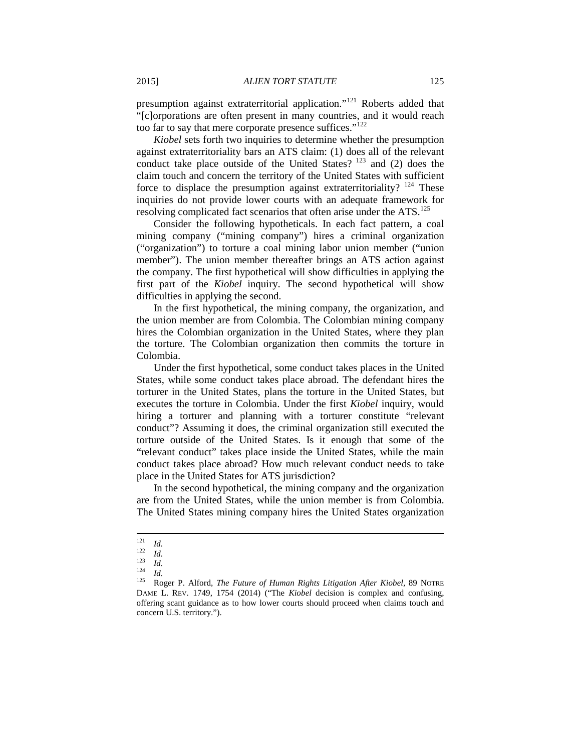presumption against extraterritorial application."<sup>[121](#page-15-0)</sup> Roberts added that "[c]orporations are often present in many countries, and it would reach too far to say that mere corporate presence suffices."<sup>[122](#page-15-1)</sup>

*Kiobel* sets forth two inquiries to determine whether the presumption against extraterritoriality bars an ATS claim: (1) does all of the relevant conduct take place outside of the United States?  $123$  and (2) does the claim touch and concern the territory of the United States with sufficient force to displace the presumption against extraterritoriality?  $124$  These inquiries do not provide lower courts with an adequate framework for resolving complicated fact scenarios that often arise under the ATS.<sup>[125](#page-15-4)</sup>

Consider the following hypotheticals. In each fact pattern, a coal mining company ("mining company") hires a criminal organization ("organization") to torture a coal mining labor union member ("union member"). The union member thereafter brings an ATS action against the company. The first hypothetical will show difficulties in applying the first part of the *Kiobel* inquiry. The second hypothetical will show difficulties in applying the second.

In the first hypothetical, the mining company, the organization, and the union member are from Colombia. The Colombian mining company hires the Colombian organization in the United States, where they plan the torture. The Colombian organization then commits the torture in Colombia.

Under the first hypothetical, some conduct takes places in the United States, while some conduct takes place abroad. The defendant hires the torturer in the United States, plans the torture in the United States, but executes the torture in Colombia. Under the first *Kiobel* inquiry, would hiring a torturer and planning with a torturer constitute "relevant conduct"? Assuming it does, the criminal organization still executed the torture outside of the United States. Is it enough that some of the "relevant conduct" takes place inside the United States, while the main conduct takes place abroad? How much relevant conduct needs to take place in the United States for ATS jurisdiction?

In the second hypothetical, the mining company and the organization are from the United States, while the union member is from Colombia. The United States mining company hires the United States organization

<span id="page-15-2"></span>

<span id="page-15-4"></span><span id="page-15-3"></span>

<span id="page-15-1"></span><span id="page-15-0"></span><sup>1&</sup>lt;sup>21</sup> *Id.*<br>
<sup>122</sup> *Id.*<br>
<sup>123</sup> *Id.*<br>
<sup>125</sup> Roger P. Alford, *The Future of Human Rights Litigation After Kiobel,* 89 NOTRE DAME L. REV. 1749, 1754 (2014) ("The *Kiobel* decision is complex and confusing, offering scant guidance as to how lower courts should proceed when claims touch and concern U.S. territory.").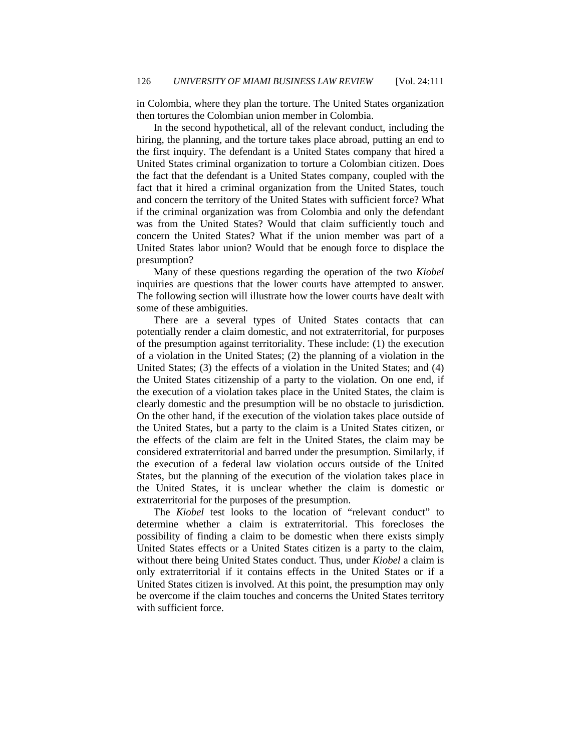in Colombia, where they plan the torture. The United States organization then tortures the Colombian union member in Colombia.

In the second hypothetical, all of the relevant conduct, including the hiring, the planning, and the torture takes place abroad, putting an end to the first inquiry. The defendant is a United States company that hired a United States criminal organization to torture a Colombian citizen. Does the fact that the defendant is a United States company, coupled with the fact that it hired a criminal organization from the United States, touch and concern the territory of the United States with sufficient force? What if the criminal organization was from Colombia and only the defendant was from the United States? Would that claim sufficiently touch and concern the United States? What if the union member was part of a United States labor union? Would that be enough force to displace the presumption?

Many of these questions regarding the operation of the two *Kiobel*  inquiries are questions that the lower courts have attempted to answer. The following section will illustrate how the lower courts have dealt with some of these ambiguities.

There are a several types of United States contacts that can potentially render a claim domestic, and not extraterritorial, for purposes of the presumption against territoriality. These include: (1) the execution of a violation in the United States; (2) the planning of a violation in the United States; (3) the effects of a violation in the United States; and (4) the United States citizenship of a party to the violation. On one end, if the execution of a violation takes place in the United States, the claim is clearly domestic and the presumption will be no obstacle to jurisdiction. On the other hand, if the execution of the violation takes place outside of the United States, but a party to the claim is a United States citizen, or the effects of the claim are felt in the United States, the claim may be considered extraterritorial and barred under the presumption. Similarly, if the execution of a federal law violation occurs outside of the United States, but the planning of the execution of the violation takes place in the United States, it is unclear whether the claim is domestic or extraterritorial for the purposes of the presumption.

The *Kiobel* test looks to the location of "relevant conduct" to determine whether a claim is extraterritorial. This forecloses the possibility of finding a claim to be domestic when there exists simply United States effects or a United States citizen is a party to the claim, without there being United States conduct. Thus, under *Kiobel* a claim is only extraterritorial if it contains effects in the United States or if a United States citizen is involved. At this point, the presumption may only be overcome if the claim touches and concerns the United States territory with sufficient force.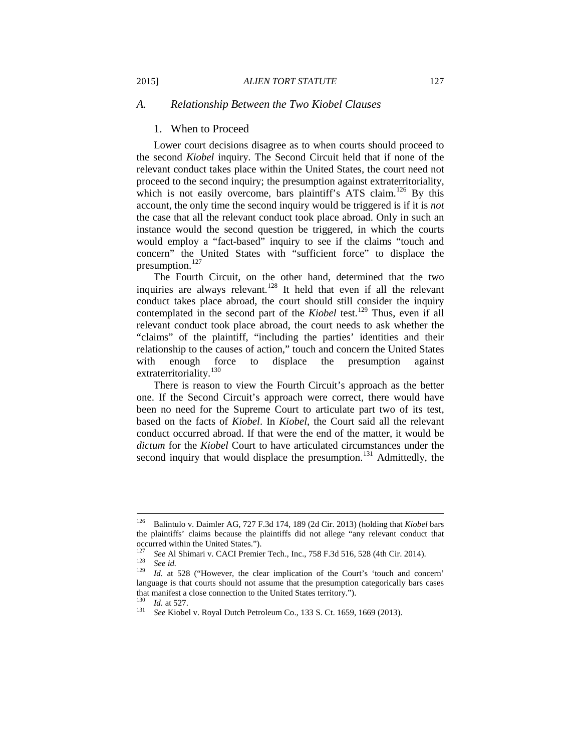#### *A. Relationship Between the Two Kiobel Clauses*

#### 1. When to Proceed

Lower court decisions disagree as to when courts should proceed to the second *Kiobel* inquiry. The Second Circuit held that if none of the relevant conduct takes place within the United States, the court need not proceed to the second inquiry; the presumption against extraterritoriality, which is not easily overcome, bars plaintiff's ATS claim.<sup>[126](#page-17-0)</sup> By this account, the only time the second inquiry would be triggered is if it is *not* the case that all the relevant conduct took place abroad. Only in such an instance would the second question be triggered, in which the courts would employ a "fact-based" inquiry to see if the claims "touch and concern" the United States with "sufficient force" to displace the presumption. $127$ 

The Fourth Circuit, on the other hand, determined that the two inquiries are always relevant.<sup>[128](#page-17-2)</sup> It held that even if all the relevant conduct takes place abroad, the court should still consider the inquiry contemplated in the second part of the *Kiobel* test.<sup>[129](#page-17-3)</sup> Thus, even if all relevant conduct took place abroad, the court needs to ask whether the "claims" of the plaintiff, "including the parties' identities and their relationship to the causes of action," touch and concern the United States with enough force to displace the presumption against extraterritoriality.<sup>[130](#page-17-4)</sup>

There is reason to view the Fourth Circuit's approach as the better one. If the Second Circuit's approach were correct, there would have been no need for the Supreme Court to articulate part two of its test, based on the facts of *Kiobel*. In *Kiobel*, the Court said all the relevant conduct occurred abroad. If that were the end of the matter, it would be *dictum* for the *Kiobel* Court to have articulated circumstances under the second inquiry that would displace the presumption.<sup>[131](#page-17-5)</sup> Admittedly, the

<span id="page-17-0"></span> <sup>126</sup> Balintulo v. Daimler AG, 727 F.3d 174, 189 (2d Cir. 2013) (holding that *Kiobel* bars the plaintiffs' claims because the plaintiffs did not allege "any relevant conduct that

<span id="page-17-1"></span>occurred within the United States.").<br>
<sup>127</sup> See Al Shimari v. CACI Premier Tech., Inc., 758 F.3d 516, 528 (4th Cir. 2014).<br>
<sup>128</sup> See id.<br>
<sup>129</sup> Id. at 528 ("However, the clear implication of the Court's 'touch and concer

<span id="page-17-3"></span><span id="page-17-2"></span>language is that courts should not assume that the presumption categorically bars cases that manifest a close connection to the United States territory.").<br><sup>130</sup> *Id.* at 527.<br><sup>131</sup> *See* Kiobel v. Royal Dutch Petroleum Co., 133 S. Ct. 1659, 1669 (2013).

<span id="page-17-5"></span><span id="page-17-4"></span>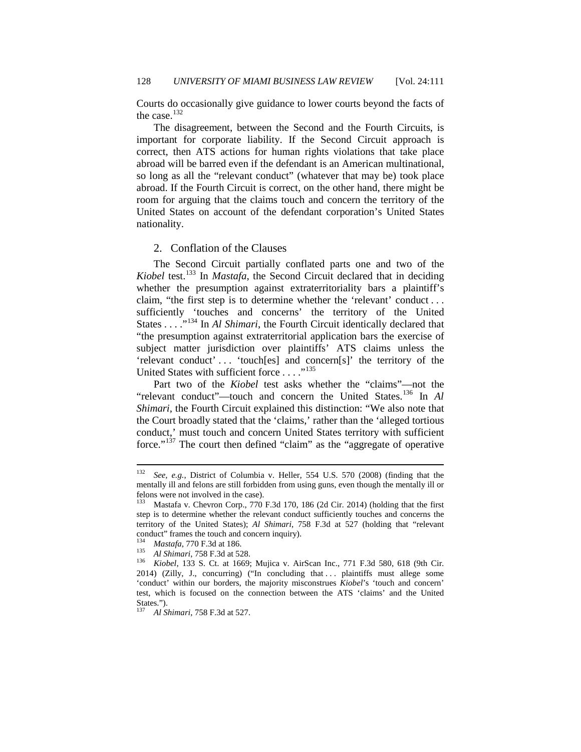Courts do occasionally give guidance to lower courts beyond the facts of the case.<sup>[132](#page-18-0)</sup>

The disagreement, between the Second and the Fourth Circuits, is important for corporate liability. If the Second Circuit approach is correct, then ATS actions for human rights violations that take place abroad will be barred even if the defendant is an American multinational, so long as all the "relevant conduct" (whatever that may be) took place abroad. If the Fourth Circuit is correct, on the other hand, there might be room for arguing that the claims touch and concern the territory of the United States on account of the defendant corporation's United States nationality.

#### 2. Conflation of the Clauses

The Second Circuit partially conflated parts one and two of the *Kiobel* test.[133](#page-18-1) In *Mastafa*, the Second Circuit declared that in deciding whether the presumption against extraterritoriality bars a plaintiff's claim, "the first step is to determine whether the 'relevant' conduct . . . sufficiently 'touches and concerns' the territory of the United States . . . .<sup>"[134](#page-18-2)</sup> In *Al Shimari*, the Fourth Circuit identically declared that "the presumption against extraterritorial application bars the exercise of subject matter jurisdiction over plaintiffs' ATS claims unless the 'relevant conduct' ... 'touch[es] and concern[s]' the territory of the United States with sufficient force . . . ."<sup>[135](#page-18-3)</sup>

Part two of the *Kiobel* test asks whether the "claims"—not the "relevant conduct"—touch and concern the United States.[136](#page-18-4) In *Al Shimari,* the Fourth Circuit explained this distinction: "We also note that the Court broadly stated that the 'claims,' rather than the 'alleged tortious conduct,' must touch and concern United States territory with sufficient force."[137](#page-18-5) The court then defined "claim" as the "aggregate of operative

<span id="page-18-0"></span> <sup>132</sup> *See, e.g.*, District of Columbia v. Heller, 554 U.S. 570 (2008) (finding that the mentally ill and felons are still forbidden from using guns, even though the mentally ill or felons were not involved in the case).

<span id="page-18-1"></span><sup>133</sup> Mastafa v. Chevron Corp., 770 F.3d 170, 186 (2d Cir. 2014) (holding that the first step is to determine whether the relevant conduct sufficiently touches and concerns the territory of the United States); *Al Shimari*, 758 F.3d at 527 (holding that "relevant conduct" frames the touch and concern inquiry).<br>
<sup>134</sup> *Mastafa*, 770 F.3d at 186.<br>
<sup>135</sup> *Al Shimari*, 758 F.3d at 528.<br>
<sup>136</sup> *Kiobel*, 133 S. Ct. at 1669; Mujica v. AirScan Inc., 771 F.3d 580, 618 (9th Cir.

<span id="page-18-4"></span><span id="page-18-3"></span><span id="page-18-2"></span><sup>2014) (</sup>Zilly, J., concurring) ("In concluding that . . . plaintiffs must allege some 'conduct' within our borders, the majority misconstrues *Kiobel*'s 'touch and concern' test, which is focused on the connection between the ATS 'claims' and the United States."). <sup>137</sup> *Al Shimari*, 758 F.3d at 527.

<span id="page-18-5"></span>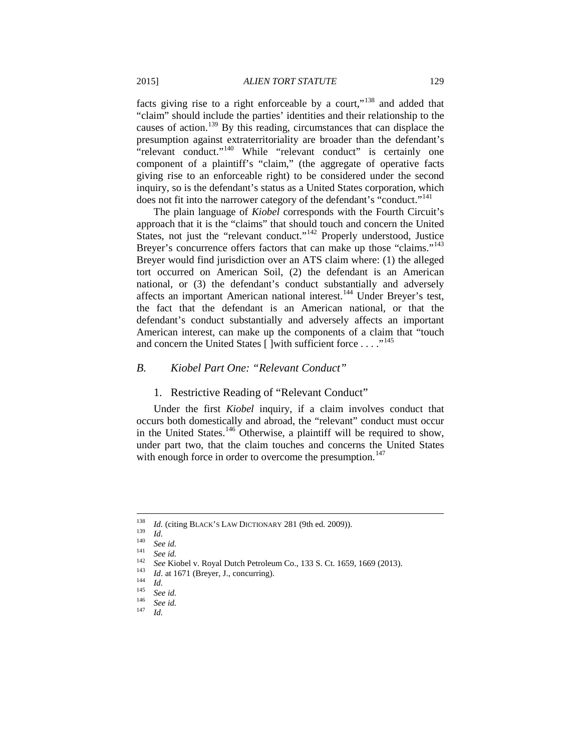facts giving rise to a right enforceable by a court,"[138](#page-19-0) and added that "claim" should include the parties' identities and their relationship to the causes of action.[139](#page-19-1) By this reading, circumstances that can displace the presumption against extraterritoriality are broader than the defendant's "relevant conduct."<sup>[140](#page-19-2)</sup> While "relevant conduct" is certainly one component of a plaintiff's "claim," (the aggregate of operative facts giving rise to an enforceable right) to be considered under the second inquiry, so is the defendant's status as a United States corporation, which does not fit into the narrower category of the defendant's "conduct."<sup>[141](#page-19-3)</sup>

The plain language of *Kiobel* corresponds with the Fourth Circuit's approach that it is the "claims" that should touch and concern the United States, not just the "relevant conduct."[142](#page-19-4) Properly understood, Justice Breyer's concurrence offers factors that can make up those "claims."<sup>[143](#page-19-5)</sup> Breyer would find jurisdiction over an ATS claim where: (1) the alleged tort occurred on American Soil, (2) the defendant is an American national, or (3) the defendant's conduct substantially and adversely affects an important American national interest.[144](#page-19-6) Under Breyer's test, the fact that the defendant is an American national, or that the defendant's conduct substantially and adversely affects an important American interest, can make up the components of a claim that "touch and concern the United States [ ]with sufficient force . . . . "<sup>[145](#page-19-7)</sup>

#### *B. Kiobel Part One: "Relevant Conduct"*

#### 1. Restrictive Reading of "Relevant Conduct"

Under the first *Kiobel* inquiry, if a claim involves conduct that occurs both domestically and abroad, the "relevant" conduct must occur in the United States.<sup>[146](#page-19-8)</sup> Otherwise, a plaintiff will be required to show, under part two, that the claim touches and concerns the United States with enough force in order to overcome the presumption.<sup>[147](#page-19-9)</sup>

<span id="page-19-2"></span><span id="page-19-1"></span><span id="page-19-0"></span>

<span id="page-19-3"></span>

<sup>&</sup>lt;sup>138</sup> *Id.* (citing BLACK's LAW DICTIONARY 281 (9th ed. 2009)).<br> *Id.*<br> *See id.*<br>
<sup>140</sup> *See id.*<br>
<sup>142</sup> *See Kiobel v. Royal Dutch Petroleum Co., 133 S. Ct. 1659, 1669 (2013).*<br> *<sup>143</sup> <i>Id.* at 1671 (Breyer, J., concurri

<span id="page-19-5"></span><span id="page-19-4"></span>

<span id="page-19-7"></span><span id="page-19-6"></span>

<span id="page-19-9"></span><span id="page-19-8"></span>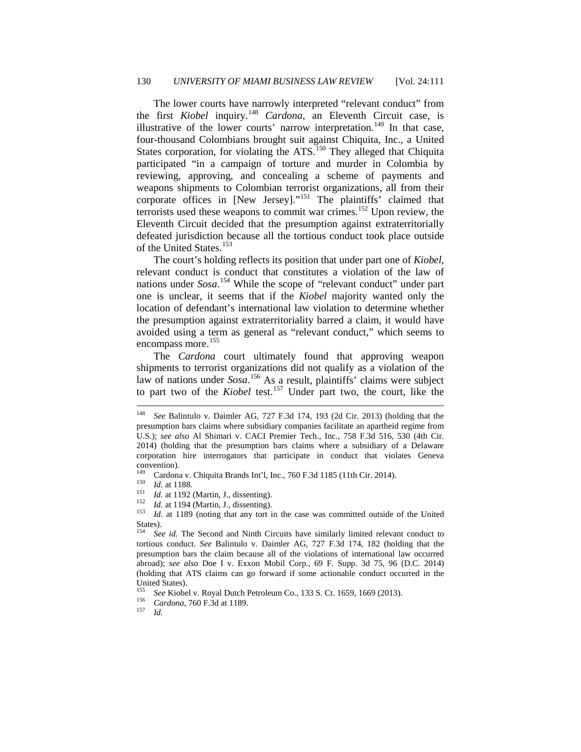The lower courts have narrowly interpreted "relevant conduct" from the first *Kiobel* inquiry.[148](#page-20-0) *Cardona*, an Eleventh Circuit case, is illustrative of the lower courts' narrow interpretation.<sup>[149](#page-20-1)</sup> In that case, four-thousand Colombians brought suit against Chiquita, Inc., a United States corporation, for violating the ATS.<sup>[150](#page-20-2)</sup> They alleged that Chiquita participated "in a campaign of torture and murder in Colombia by reviewing, approving, and concealing a scheme of payments and weapons shipments to Colombian terrorist organizations, all from their corporate offices in [New Jersey]."<sup>[151](#page-20-3)</sup> The plaintiffs' claimed that terrorists used these weapons to commit war crimes.<sup>[152](#page-20-4)</sup> Upon review, the Eleventh Circuit decided that the presumption against extraterritorially defeated jurisdiction because all the tortious conduct took place outside of the United States.<sup>[153](#page-20-5)</sup>

The court's holding reflects its position that under part one of *Kiobel*, relevant conduct is conduct that constitutes a violation of the law of nations under *Sosa*. [154](#page-20-6) While the scope of "relevant conduct" under part one is unclear, it seems that if the *Kiobel* majority wanted only the location of defendant's international law violation to determine whether the presumption against extraterritoriality barred a claim, it would have avoided using a term as general as "relevant conduct," which seems to encompass more.<sup>[155](#page-20-7)</sup>

The *Cardona* court ultimately found that approving weapon shipments to terrorist organizations did not qualify as a violation of the law of nations under *Sosa*. [156](#page-20-8) As a result, plaintiffs' claims were subject to part two of the *Kiobel* test.[157](#page-20-9) Under part two, the court, like the

<span id="page-20-3"></span>

<span id="page-20-2"></span><span id="page-20-1"></span><sup>149</sup> Cardona v. Chiquita Brands Int'l, Inc., 760 F.3d 1185 (11th Cir. 2014).<br>
<sup>150</sup> *Id.* at 1188.<br>
<sup>151</sup> *Id.* at 1192 (Martin, J., dissenting).<br>
<sup>152</sup> *Id.* at 1194 (Martin, J., dissenting).<br>
<sup>153</sup> *Id.* at 1189 (notin States).<br> $\frac{154}{s}$ 

<span id="page-20-7"></span><sup>155</sup> *See* Kiobel v. Royal Dutch Petroleum Co., 133 S. Ct. 1659, 1669 (2013). <sup>156</sup> *Cardona*, 760 F.3d at 1189. <sup>157</sup> *Id.*

<span id="page-20-0"></span> <sup>148</sup> *See* Balintulo v. Daimler AG, 727 F.3d 174, 193 (2d Cir. 2013) (holding that the presumption bars claims where subsidiary companies facilitate an apartheid regime from U.S.); *see also* Al Shimari v. CACI Premier Tech., Inc., 758 F.3d 516, 530 (4th Cir. 2014) (holding that the presumption bars claims where a subsidiary of a Delaware corporation hire interrogators that participate in conduct that violates Geneva convention).<br> $149$  Cardon

<span id="page-20-4"></span>

<span id="page-20-6"></span><span id="page-20-5"></span>See id. The Second and Ninth Circuits have similarly limited relevant conduct to tortious conduct. *See* Balintulo v. Daimler AG, 727 F.3d 174, 182 (holding that the presumption bars the claim because all of the violations of international law occurred abroad); *see also* Doe I v. Exxon Mobil Corp., 69 F. Supp. 3d 75, 96 (D.C. 2014) (holding that ATS claims can go forward if some actionable conduct occurred in the United States).

<span id="page-20-9"></span><span id="page-20-8"></span>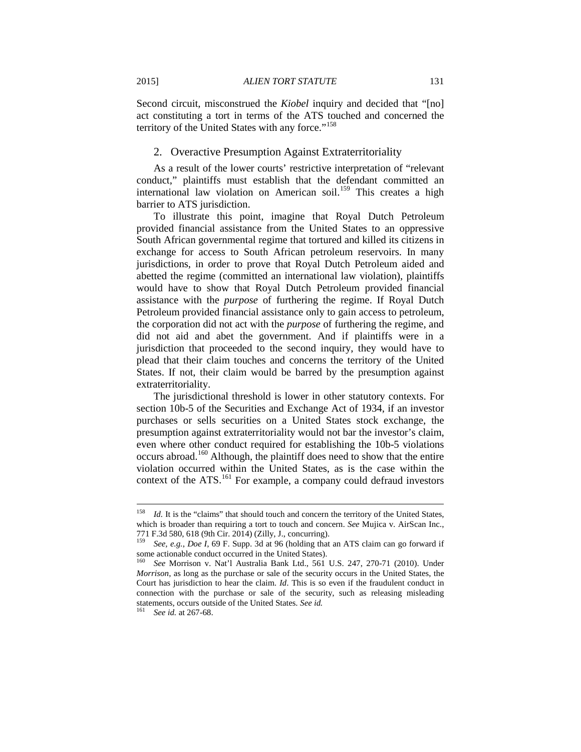Second circuit, misconstrued the *Kiobel* inquiry and decided that "[no] act constituting a tort in terms of the ATS touched and concerned the territory of the United States with any force."<sup>[158](#page-21-0)</sup>

#### 2. Overactive Presumption Against Extraterritoriality

As a result of the lower courts' restrictive interpretation of "relevant conduct," plaintiffs must establish that the defendant committed an international law violation on American soil.<sup>[159](#page-21-1)</sup> This creates a high barrier to ATS jurisdiction.

To illustrate this point, imagine that Royal Dutch Petroleum provided financial assistance from the United States to an oppressive South African governmental regime that tortured and killed its citizens in exchange for access to South African petroleum reservoirs. In many jurisdictions, in order to prove that Royal Dutch Petroleum aided and abetted the regime (committed an international law violation), plaintiffs would have to show that Royal Dutch Petroleum provided financial assistance with the *purpose* of furthering the regime. If Royal Dutch Petroleum provided financial assistance only to gain access to petroleum, the corporation did not act with the *purpose* of furthering the regime, and did not aid and abet the government. And if plaintiffs were in a jurisdiction that proceeded to the second inquiry, they would have to plead that their claim touches and concerns the territory of the United States. If not, their claim would be barred by the presumption against extraterritoriality.

The jurisdictional threshold is lower in other statutory contexts. For section 10b-5 of the Securities and Exchange Act of 1934, if an investor purchases or sells securities on a United States stock exchange, the presumption against extraterritoriality would not bar the investor's claim, even where other conduct required for establishing the 10b-5 violations occurs abroad.[160](#page-21-2) Although, the plaintiff does need to show that the entire violation occurred within the United States, as is the case within the context of the ATS.<sup>[161](#page-21-3)</sup> For example, a company could defraud investors

<span id="page-21-0"></span><sup>&</sup>lt;sup>158</sup> *Id.* It is the "claims" that should touch and concern the territory of the United States, which is broader than requiring a tort to touch and concern. *See* Mujica v. AirScan Inc., 771 F.3d 580, 618 (9th Cir. 2014) (Zilly, J., concurring).

<span id="page-21-1"></span>See, e.g., Doe I, 69 F. Supp. 3d at 96 (holding that an ATS claim can go forward if some actionable conduct occurred in the United States).

<span id="page-21-2"></span><sup>160</sup> *See* Morrison v. Nat'l Australia Bank Ltd., 561 U.S. 247, 270-71 (2010). Under *Morrison*, as long as the purchase or sale of the security occurs in the United States, the Court has jurisdiction to hear the claim. *Id*. This is so even if the fraudulent conduct in connection with the purchase or sale of the security, such as releasing misleading statements, occurs outside of the United States. *See id.* 161 *See id.* at 267-68.

<span id="page-21-3"></span>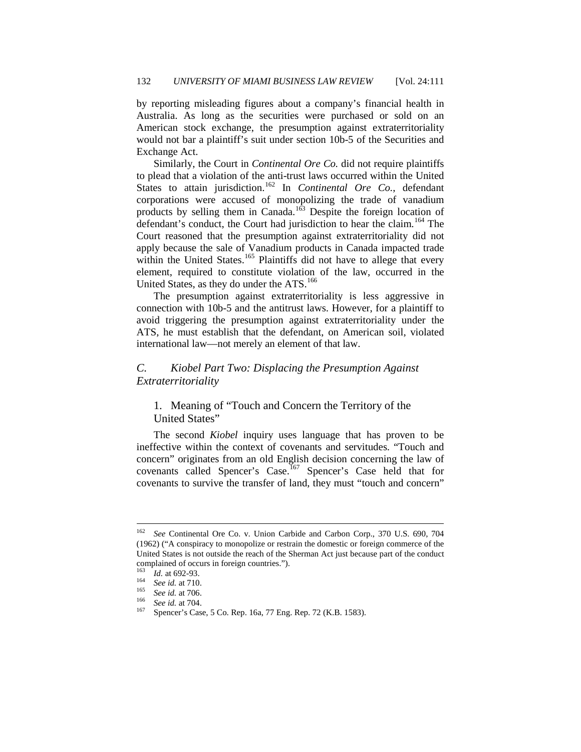by reporting misleading figures about a company's financial health in Australia. As long as the securities were purchased or sold on an American stock exchange, the presumption against extraterritoriality would not bar a plaintiff's suit under section 10b-5 of the Securities and Exchange Act.

Similarly, the Court in *Continental Ore Co.* did not require plaintiffs to plead that a violation of the anti-trust laws occurred within the United States to attain jurisdiction.<sup>[162](#page-22-0)</sup> In *Continental Ore Co.*, defendant corporations were accused of monopolizing the trade of vanadium products by selling them in Canada.<sup>[163](#page-22-1)</sup> Despite the foreign location of defendant's conduct, the Court had jurisdiction to hear the claim.<sup>[164](#page-22-2)</sup> The Court reasoned that the presumption against extraterritoriality did not apply because the sale of Vanadium products in Canada impacted trade within the United States.<sup>[165](#page-22-3)</sup> Plaintiffs did not have to allege that every element, required to constitute violation of the law, occurred in the United States, as they do under the ATS.<sup>[166](#page-22-4)</sup>

The presumption against extraterritoriality is less aggressive in connection with 10b-5 and the antitrust laws. However, for a plaintiff to avoid triggering the presumption against extraterritoriality under the ATS, he must establish that the defendant, on American soil, violated international law—not merely an element of that law.

## *C. Kiobel Part Two: Displacing the Presumption Against Extraterritoriality*

1. Meaning of "Touch and Concern the Territory of the United States"

The second *Kiobel* inquiry uses language that has proven to be ineffective within the context of covenants and servitudes. "Touch and concern" originates from an old English decision concerning the law of covenants called Spencer's Case.<sup>[167](#page-22-5)</sup> Spencer's Case held that for covenants to survive the transfer of land, they must "touch and concern"

<span id="page-22-0"></span> <sup>162</sup> *See* Continental Ore Co. v. Union Carbide and Carbon Corp., 370 U.S. 690, 704 (1962) ("A conspiracy to monopolize or restrain the domestic or foreign commerce of the United States is not outside the reach of the Sherman Act just because part of the conduct complained of occurs in foreign countries.").<br>
<sup>163</sup> *Id.* at 692-93.<br>
<sup>164</sup> *See id.* at 710.<br>
<sup>165</sup> *See id.* at 704.<br>
<sup>167</sup> Spencer's Case, 5 Co. Rep. 16a, 77 Eng. Rep. 72 (K.B. 1583).

<span id="page-22-1"></span>

<span id="page-22-5"></span><span id="page-22-4"></span><span id="page-22-3"></span><span id="page-22-2"></span>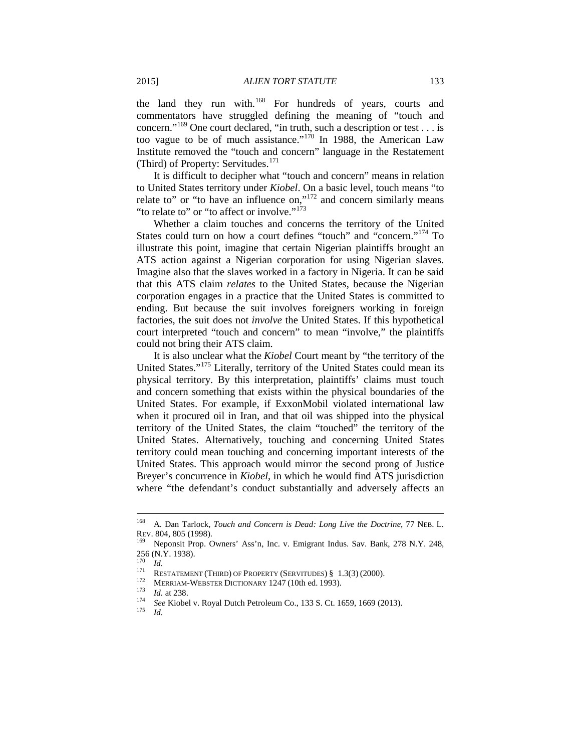the land they run with.<sup>[168](#page-23-0)</sup> For hundreds of years, courts and commentators have struggled defining the meaning of "touch and concern."[169](#page-23-1) One court declared, "in truth, such a description or test . . . is too vague to be of much assistance."[170](#page-23-2) In 1988, the American Law Institute removed the "touch and concern" language in the Restatement (Third) of Property: Servitudes.<sup>[171](#page-23-3)</sup>

It is difficult to decipher what "touch and concern" means in relation to United States territory under *Kiobel*. On a basic level, touch means "to relate to" or "to have an influence on," $172$  and concern similarly means "to relate to" or "to affect or involve."<sup>[173](#page-23-5)</sup>

Whether a claim touches and concerns the territory of the United States could turn on how a court defines "touch" and "concern."<sup>[174](#page-23-6)</sup> To illustrate this point, imagine that certain Nigerian plaintiffs brought an ATS action against a Nigerian corporation for using Nigerian slaves. Imagine also that the slaves worked in a factory in Nigeria. It can be said that this ATS claim *relates* to the United States, because the Nigerian corporation engages in a practice that the United States is committed to ending. But because the suit involves foreigners working in foreign factories, the suit does not *involve* the United States. If this hypothetical court interpreted "touch and concern" to mean "involve," the plaintiffs could not bring their ATS claim.

It is also unclear what the *Kiobel* Court meant by "the territory of the United States."[175](#page-23-7) Literally, territory of the United States could mean its physical territory. By this interpretation, plaintiffs' claims must touch and concern something that exists within the physical boundaries of the United States. For example, if ExxonMobil violated international law when it procured oil in Iran, and that oil was shipped into the physical territory of the United States, the claim "touched" the territory of the United States. Alternatively, touching and concerning United States territory could mean touching and concerning important interests of the United States. This approach would mirror the second prong of Justice Breyer's concurrence in *Kiobel*, in which he would find ATS jurisdiction where "the defendant's conduct substantially and adversely affects an

<span id="page-23-0"></span> <sup>168</sup> A. Dan Tarlock, *Touch and Concern is Dead: Long Live the Doctrine*, 77 NEB. L. REV. 804, 805 (1998).<br><sup>169</sup> Neponsit Prop. Owners' Ass'n, Inc. v. Emigrant Indus. Sav. Bank, 278 N.Y. 248,

<span id="page-23-1"></span><sup>256 (</sup>N.Y. 1938).

<span id="page-23-7"></span><span id="page-23-6"></span><span id="page-23-5"></span><span id="page-23-4"></span>

<span id="page-23-3"></span><span id="page-23-2"></span><sup>&</sup>lt;sup>170</sup> *Id.*<br>
RESTATEMENT (THIRD) OF PROPERTY (SERVITUDES) § 1.3(3) (2000).<br>
<sup>172</sup> MERRIAM-WEBSTER DICTIONARY 1247 (10th ed. 1993).<br> *Id.* at 238.<br>
<sup>174</sup> *See* Kiobel v. Royal Dutch Petroleum Co., 133 S. Ct. 1659, 1669 (20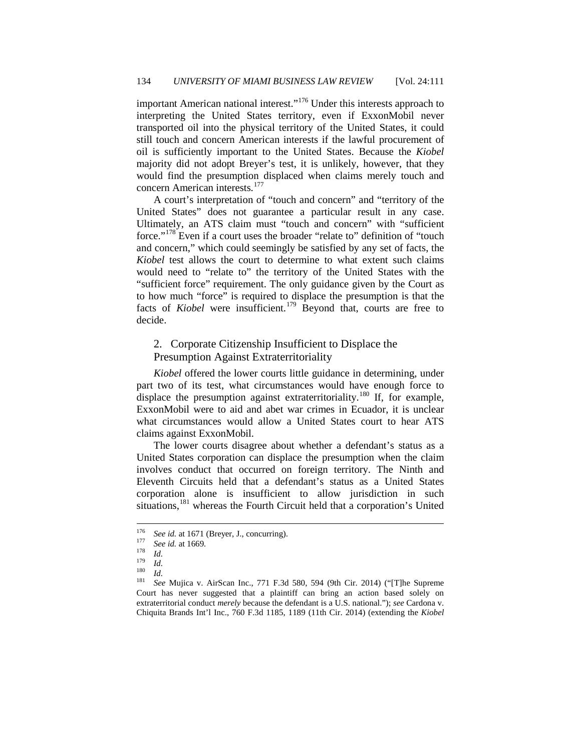important American national interest."<sup>[176](#page-24-0)</sup> Under this interests approach to interpreting the United States territory, even if ExxonMobil never transported oil into the physical territory of the United States, it could still touch and concern American interests if the lawful procurement of oil is sufficiently important to the United States. Because the *Kiobel*  majority did not adopt Breyer's test, it is unlikely, however, that they would find the presumption displaced when claims merely touch and concern American interests.<sup>[177](#page-24-1)</sup>

A court's interpretation of "touch and concern" and "territory of the United States" does not guarantee a particular result in any case. Ultimately, an ATS claim must "touch and concern" with "sufficient force."[178](#page-24-2) Even if a court uses the broader "relate to" definition of "touch and concern," which could seemingly be satisfied by any set of facts, the *Kiobel* test allows the court to determine to what extent such claims would need to "relate to" the territory of the United States with the "sufficient force" requirement. The only guidance given by the Court as to how much "force" is required to displace the presumption is that the facts of *Kiobel* were insufficient.<sup>[179](#page-24-3)</sup> Beyond that, courts are free to decide.

# 2. Corporate Citizenship Insufficient to Displace the Presumption Against Extraterritoriality

*Kiobel* offered the lower courts little guidance in determining, under part two of its test, what circumstances would have enough force to displace the presumption against extraterritoriality.<sup>[180](#page-24-4)</sup> If, for example, ExxonMobil were to aid and abet war crimes in Ecuador, it is unclear what circumstances would allow a United States court to hear ATS claims against ExxonMobil.

The lower courts disagree about whether a defendant's status as a United States corporation can displace the presumption when the claim involves conduct that occurred on foreign territory. The Ninth and Eleventh Circuits held that a defendant's status as a United States corporation alone is insufficient to allow jurisdiction in such situations,<sup>[181](#page-24-5)</sup> whereas the Fourth Circuit held that a corporation's United

<span id="page-24-2"></span><span id="page-24-1"></span><span id="page-24-0"></span>

<span id="page-24-3"></span>

<span id="page-24-5"></span><span id="page-24-4"></span>

<sup>&</sup>lt;sup>176</sup> *See id.* at 1671 (Breyer, J., concurring).<br>
<sup>177</sup> *See id.* at 1669.<br> *Id.* 180 *Id.*<br>
<sup>181</sup> *See* Mujica v. AirScan Inc., 771 F.3d 580, 594 (9th Cir. 2014) ("[T]he Supreme Court has never suggested that a plaintiff can bring an action based solely on extraterritorial conduct *merely* because the defendant is a U.S. national."); *see* Cardona v. Chiquita Brands Int'l Inc., 760 F.3d 1185, 1189 (11th Cir. 2014) (extending the *Kiobel*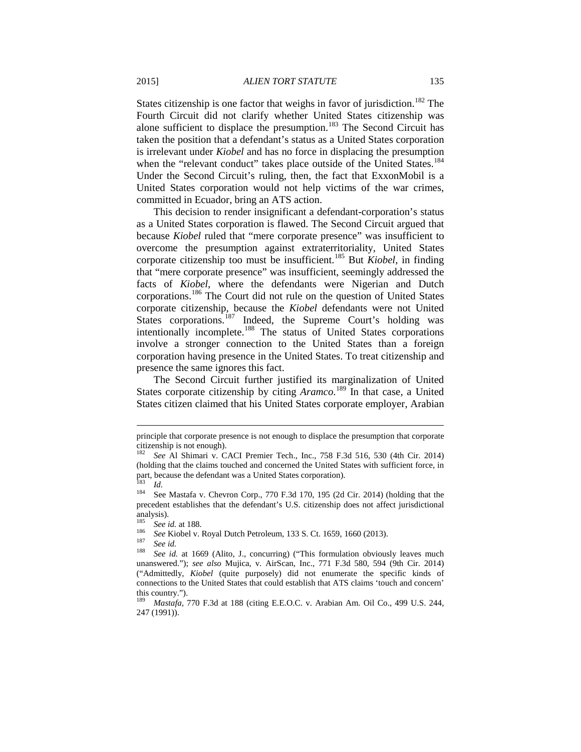States citizenship is one factor that weighs in favor of jurisdiction.<sup>[182](#page-25-0)</sup> The Fourth Circuit did not clarify whether United States citizenship was alone sufficient to displace the presumption.<sup>[183](#page-25-1)</sup> The Second Circuit has taken the position that a defendant's status as a United States corporation is irrelevant under *Kiobel* and has no force in displacing the presumption when the "relevant conduct" takes place outside of the United States.<sup>[184](#page-25-2)</sup> Under the Second Circuit's ruling, then, the fact that ExxonMobil is a United States corporation would not help victims of the war crimes, committed in Ecuador, bring an ATS action.

This decision to render insignificant a defendant-corporation's status as a United States corporation is flawed. The Second Circuit argued that because *Kiobel* ruled that "mere corporate presence" was insufficient to overcome the presumption against extraterritoriality, United States corporate citizenship too must be insufficient.[185](#page-25-3) But *Kiobel*, in finding that "mere corporate presence" was insufficient, seemingly addressed the facts of *Kiobel*, where the defendants were Nigerian and Dutch corporations.[186](#page-25-4) The Court did not rule on the question of United States corporate citizenship, because the *Kiobel* defendants were not United States corporations.<sup>[187](#page-25-5)</sup> Indeed, the Supreme Court's holding was intentionally incomplete.<sup>[188](#page-25-6)</sup> The status of United States corporations involve a stronger connection to the United States than a foreign corporation having presence in the United States. To treat citizenship and presence the same ignores this fact.

The Second Circuit further justified its marginalization of United States corporate citizenship by citing *Aramco*.<sup>[189](#page-25-7)</sup> In that case, a United States citizen claimed that his United States corporate employer, Arabian

principle that corporate presence is not enough to displace the presumption that corporate citizenship is not enough).

<span id="page-25-0"></span><sup>182</sup> *See* Al Shimari v. CACI Premier Tech., Inc., 758 F.3d 516*,* 530 (4th Cir. 2014) (holding that the claims touched and concerned the United States with sufficient force, in part, because the defendant was a United States corporation).<br><sup>183</sup> *Id.* See Mastafa v. Chevron Corp., 770 F.3d 170, 195 (2d Cir. 2014) (holding that the

<span id="page-25-2"></span><span id="page-25-1"></span>precedent establishes that the defendant's U.S. citizenship does not affect jurisdictional analysis).

<span id="page-25-6"></span>

<span id="page-25-5"></span><span id="page-25-4"></span><span id="page-25-3"></span><sup>&</sup>lt;sup>185</sup> *See id.* at 188.<br><sup>186</sup> *See Kiobel v. Royal Dutch Petroleum, 133 S. Ct. 1659, 1660 (2013).*<br><sup>187</sup> *See id.* at 1669 (Alito, J., concurring) ("This formulation obviously leaves much <sup>188</sup> *See id.* at 1669 (Alito, J. unanswered."); *see also* Mujica, v. AirScan, Inc., 771 F.3d 580, 594 (9th Cir. 2014) ("Admittedly, *Kiobel* (quite purposely) did not enumerate the specific kinds of connections to the United States that could establish that ATS claims 'touch and concern' this country."). <sup>189</sup> *Mastafa*, 770 F.3d at 188 (citing E.E.O.C. v. Arabian Am. Oil Co., 499 U.S. 244,

<span id="page-25-7"></span><sup>247 (1991)).</sup>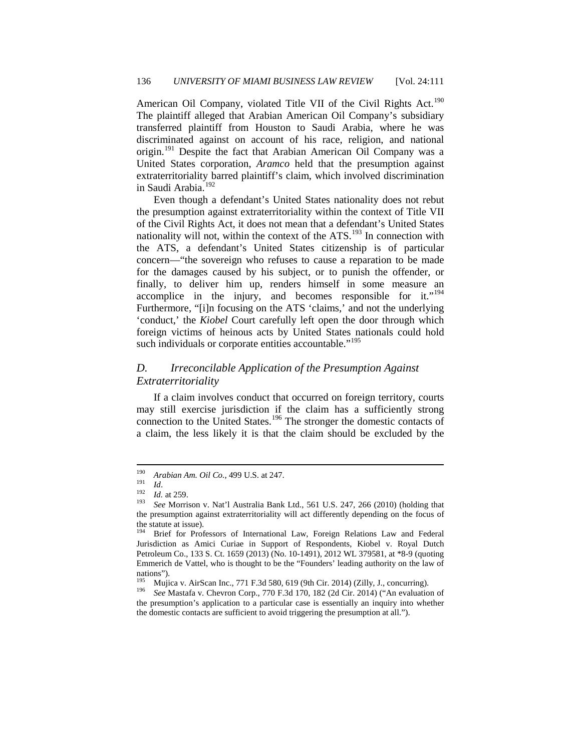American Oil Company, violated Title VII of the Civil Rights Act.<sup>[190](#page-26-0)</sup> The plaintiff alleged that Arabian American Oil Company's subsidiary transferred plaintiff from Houston to Saudi Arabia, where he was discriminated against on account of his race, religion, and national origin.<sup>[191](#page-26-1)</sup> Despite the fact that Arabian American Oil Company was a United States corporation, *Aramco* held that the presumption against extraterritoriality barred plaintiff's claim, which involved discrimination in Saudi Arabia.[192](#page-26-2)

Even though a defendant's United States nationality does not rebut the presumption against extraterritoriality within the context of Title VII of the Civil Rights Act, it does not mean that a defendant's United States nationality will not, within the context of the  $ATS$ <sup>[193](#page-26-3)</sup> In connection with the ATS, a defendant's United States citizenship is of particular concern—"the sovereign who refuses to cause a reparation to be made for the damages caused by his subject, or to punish the offender, or finally, to deliver him up, renders himself in some measure an accomplice in the injury, and becomes responsible for it."[194](#page-26-4) Furthermore, "[i]n focusing on the ATS 'claims,' and not the underlying 'conduct,' the *Kiobel* Court carefully left open the door through which foreign victims of heinous acts by United States nationals could hold such individuals or corporate entities accountable."<sup>[195](#page-26-5)</sup>

# *D. Irreconcilable Application of the Presumption Against Extraterritoriality*

If a claim involves conduct that occurred on foreign territory, courts may still exercise jurisdiction if the claim has a sufficiently strong connection to the United States.<sup>[196](#page-26-6)</sup> The stronger the domestic contacts of a claim, the less likely it is that the claim should be excluded by the

<span id="page-26-3"></span>

<span id="page-26-2"></span><span id="page-26-1"></span><span id="page-26-0"></span><sup>190</sup> *Arabian Am. Oil Co.*, 499 U.S. at 247.<br>
191 *Id.*<br>
192 *Id.* at 259.<br>
193 *See* Morrison v. Nat'l Australia Bank Ltd., 561 U.S. 247, 266 (2010) (holding that the presumption against extraterritoriality will act differently depending on the focus of the statute at issue).<br> $194$  Priof for Prof.

<span id="page-26-4"></span><sup>194</sup> Brief for Professors of International Law, Foreign Relations Law and Federal Jurisdiction as Amici Curiae in Support of Respondents, Kiobel v. Royal Dutch Petroleum Co., 133 S. Ct. 1659 (2013) (No. 10-1491), 2012 WL 379581, at \*8-9 (quoting Emmerich de Vattel, who is thought to be the "Founders' leading authority on the law of nations").<br><sup>195</sup> Mujica v. AirScan Inc., 771 F.3d 580, 619 (9th Cir. 2014) (Zilly, J., concurring).<br><sup>196</sup> *See* Mastafa v. Chevron Corp., 770 F.3d 170, 182 (2d Cir. 2014) ("An evaluation of

<span id="page-26-6"></span><span id="page-26-5"></span>the presumption's application to a particular case is essentially an inquiry into whether the domestic contacts are sufficient to avoid triggering the presumption at all.").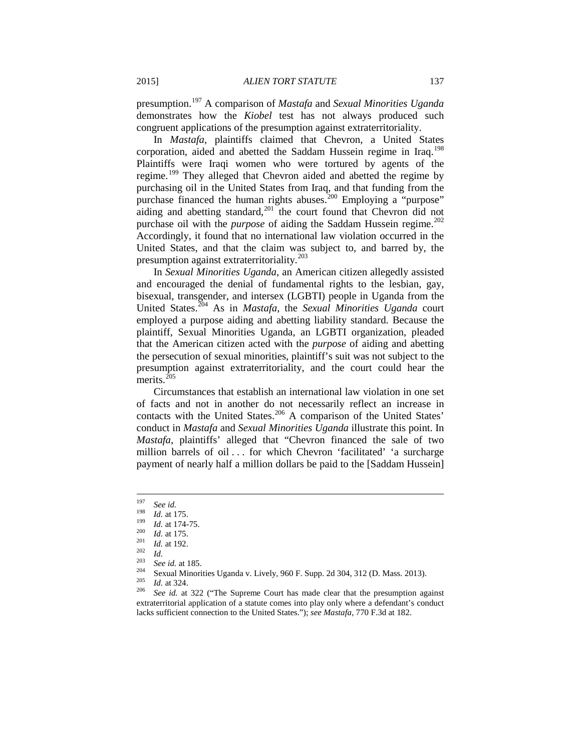presumption.[197](#page-27-0) A comparison of *Mastafa* and *Sexual Minorities Uganda* demonstrates how the *Kiobel* test has not always produced such congruent applications of the presumption against extraterritoriality.

In *Mastafa*, plaintiffs claimed that Chevron, a United States corporation, aided and abetted the Saddam Hussein regime in Iraq.<sup>[198](#page-27-1)</sup> Plaintiffs were Iraqi women who were tortured by agents of the regime.[199](#page-27-2) They alleged that Chevron aided and abetted the regime by purchasing oil in the United States from Iraq, and that funding from the purchase financed the human rights abuses.<sup>[200](#page-27-3)</sup> Employing a "purpose" aiding and abetting standard, $201$  the court found that Chevron did not purchase oil with the *purpose* of aiding the Saddam Hussein regime.<sup>[202](#page-27-5)</sup> Accordingly, it found that no international law violation occurred in the United States, and that the claim was subject to, and barred by, the presumption against extraterritoriality.<sup>[203](#page-27-6)</sup>

In *Sexual Minorities Uganda*, an American citizen allegedly assisted and encouraged the denial of fundamental rights to the lesbian, gay, bisexual, transgender, and intersex (LGBTI) people in Uganda from the United States.[204](#page-27-7) As in *Mastafa*, the *Sexual Minorities Uganda* court employed a purpose aiding and abetting liability standard. Because the plaintiff, Sexual Minorities Uganda, an LGBTI organization, pleaded that the American citizen acted with the *purpose* of aiding and abetting the persecution of sexual minorities, plaintiff's suit was not subject to the presumption against extraterritoriality, and the court could hear the merits.<sup>[205](#page-27-8)</sup>

Circumstances that establish an international law violation in one set of facts and not in another do not necessarily reflect an increase in contacts with the United States.<sup>[206](#page-27-9)</sup> A comparison of the United States' conduct in *Mastafa* and *Sexual Minorities Uganda* illustrate this point. In *Mastafa*, plaintiffs' alleged that "Chevron financed the sale of two million barrels of oil . . . for which Chevron 'facilitated' 'a surcharge payment of nearly half a million dollars be paid to the [Saddam Hussein]

<span id="page-27-1"></span>

<span id="page-27-2"></span>

<span id="page-27-5"></span><span id="page-27-4"></span><span id="page-27-3"></span>

<span id="page-27-6"></span>

<span id="page-27-9"></span><span id="page-27-8"></span><span id="page-27-7"></span>

<span id="page-27-0"></span><sup>&</sup>lt;sup>197</sup> See id.<br>
<sup>198</sup> Id. at 175.<br>
<sup>198</sup> Id. at 175.<br>
<sup>200</sup> Id. at 175.<br>
<sup>201</sup> Id. at 192.<br>
<sup>202</sup> Id.<br>
See id. at 185.<br>
<sup>204</sup> Sexual Minorities Uganda v. Lively, 960 F. Supp. 2d 304, 312 (D. Mass. 2013).<br>
<sup>205</sup> Id. at 324. extraterritorial application of a statute comes into play only where a defendant's conduct lacks sufficient connection to the United States."); *see Mastafa*, 770 F.3d at 182.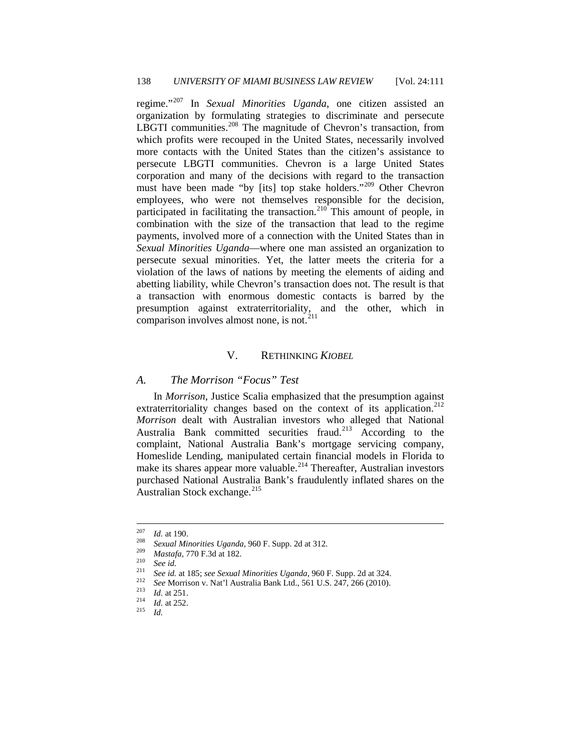regime."[207](#page-28-0) In *Sexual Minorities Uganda*, one citizen assisted an organization by formulating strategies to discriminate and persecute LBGTI communities.<sup>[208](#page-28-1)</sup> The magnitude of Chevron's transaction, from which profits were recouped in the United States, necessarily involved more contacts with the United States than the citizen's assistance to persecute LBGTI communities. Chevron is a large United States corporation and many of the decisions with regard to the transaction must have been made "by [its] top stake holders."<sup>[209](#page-28-2)</sup> Other Chevron employees, who were not themselves responsible for the decision, participated in facilitating the transaction. $210^{\circ}$  $210^{\circ}$  This amount of people, in combination with the size of the transaction that lead to the regime payments, involved more of a connection with the United States than in *Sexual Minorities Uganda*—where one man assisted an organization to persecute sexual minorities. Yet, the latter meets the criteria for a violation of the laws of nations by meeting the elements of aiding and abetting liability, while Chevron's transaction does not. The result is that a transaction with enormous domestic contacts is barred by the presumption against extraterritoriality, and the other, which in comparison involves almost none, is not. $2^{11}$ 

## V. RETHINKING *KIOBEL*

#### *A. The Morrison "Focus" Test*

In *Morrison*, Justice Scalia emphasized that the presumption against extraterritoriality changes based on the context of its application.<sup>[212](#page-28-5)</sup> *Morrison* dealt with Australian investors who alleged that National Australia Bank committed securities fraud.<sup>[213](#page-28-6)</sup> According to the complaint, National Australia Bank's mortgage servicing company, Homeslide Lending, manipulated certain financial models in Florida to make its shares appear more valuable.<sup>[214](#page-28-7)</sup> Thereafter, Australian investors purchased National Australia Bank's fraudulently inflated shares on the Australian Stock exchange.<sup>[215](#page-28-8)</sup>

<span id="page-28-2"></span><span id="page-28-1"></span>

<span id="page-28-0"></span><sup>&</sup>lt;sup>207</sup> *Id.* at 190.<br>
<sup>208</sup> *Sexual Minorities Uganda*, 960 F. Supp. 2d at 312.<br>
<sup>209</sup> *Mastafa*, 770 F.3d at 182.<br>
<sup>210</sup> *See id.*<br>
<sup>211</sup> *See id.* at 185; *see Sexual Minorities Uganda*, 960 F. Supp. 2d at 324.<br>
<sup>212</sup> *Se* 

<span id="page-28-6"></span><span id="page-28-5"></span><span id="page-28-4"></span><span id="page-28-3"></span>

<span id="page-28-8"></span><span id="page-28-7"></span>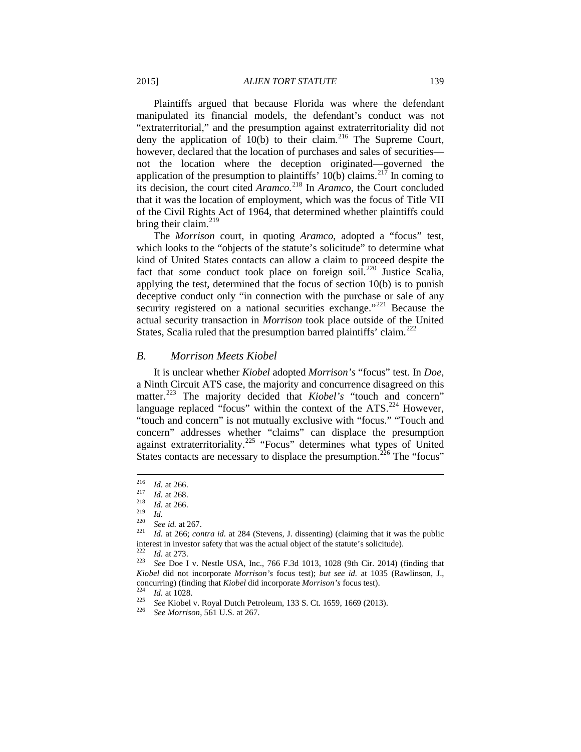Plaintiffs argued that because Florida was where the defendant manipulated its financial models, the defendant's conduct was not "extraterritorial," and the presumption against extraterritoriality did not deny the application of  $10(b)$  to their claim.<sup>[216](#page-29-0)</sup> The Supreme Court, however, declared that the location of purchases and sales of securities not the location where the deception originated—governed the application of the presumption to plaintiffs'  $10(b)$  claims.<sup>[217](#page-29-1)</sup> In coming to its decision, the court cited *Aramco.*[218](#page-29-2) In *Aramco*, the Court concluded that it was the location of employment, which was the focus of Title VII of the Civil Rights Act of 1964, that determined whether plaintiffs could bring their claim. $^{219}$  $^{219}$  $^{219}$ 

The *Morrison* court, in quoting *Aramco*, adopted a "focus" test, which looks to the "objects of the statute's solicitude" to determine what kind of United States contacts can allow a claim to proceed despite the fact that some conduct took place on foreign soil.<sup>[220](#page-29-4)</sup> Justice Scalia, applying the test, determined that the focus of section 10(b) is to punish deceptive conduct only "in connection with the purchase or sale of any security registered on a national securities exchange."<sup>[221](#page-29-5)</sup> Because the actual security transaction in *Morrison* took place outside of the United States, Scalia ruled that the presumption barred plaintiffs' claim.<sup>[222](#page-29-6)</sup>

#### *B. Morrison Meets Kiobel*

It is unclear whether *Kiobel* adopted *Morrison's* "focus" test. In *Doe*, a Ninth Circuit ATS case, the majority and concurrence disagreed on this matter.<sup>[223](#page-29-7)</sup> The majority decided that *Kiobel's* "touch and concern" language replaced "focus" within the context of the ATS.<sup>[224](#page-29-8)</sup> However, "touch and concern" is not mutually exclusive with "focus." "Touch and concern" addresses whether "claims" can displace the presumption against extraterritoriality.<sup>[225](#page-29-9)</sup> "Focus" determines what types of United States contacts are necessary to displace the presumption.<sup>[226](#page-29-10)</sup> The "focus"

<span id="page-29-7"></span><span id="page-29-6"></span><span id="page-29-5"></span>

<span id="page-29-3"></span><span id="page-29-2"></span>

<span id="page-29-4"></span>

<span id="page-29-1"></span><span id="page-29-0"></span><sup>216</sup> *Id.* at 266.<br>
<sup>218</sup> *Id.* at 268.<br>
<sup>218</sup> *Id.* <br>
<sup>220</sup> *See id.* at 267.<br>
<sup>221</sup> *Id.* at 266; *contra id.* at 284 (Stevens, J. dissenting) (claiming that it was the public interest in investor safety that was the actual object of the statute's solicitude).<br>
<sup>222</sup> *Id.* at 273.<br>
<sup>223</sup> *See* Doe I v. Nestle USA, Inc., 766 F.3d 1013, 1028 (9th Cir. 2014) (finding that

*Kiobel* did not incorporate *Morrison's* focus test); *but see id.* at 1035 (Rawlinson, J., concurring) (finding that *Kiobel* did incorporate *Morrison's* focus test).<br>
<sup>224</sup> *Id.* at 1028.<br>
<sup>225</sup> *See* Kiobel v. Royal Dutch Petroleum, 133 S. Ct. 1659, 1669 (2013).<br>
<sup>226</sup> *See Morrison*, 561 U.S. at 267.

<span id="page-29-10"></span><span id="page-29-9"></span><span id="page-29-8"></span>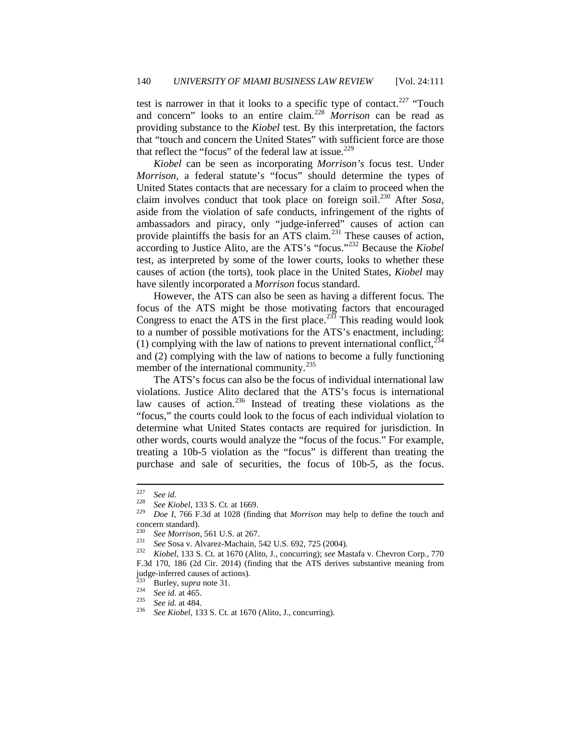test is narrower in that it looks to a specific type of contact.<sup>[227](#page-30-0)</sup> "Touch and concern" looks to an entire claim.[228](#page-30-1) *Morrison* can be read as providing substance to the *Kiobel* test. By this interpretation, the factors that "touch and concern the United States" with sufficient force are those that reflect the "focus" of the federal law at issue.<sup>[229](#page-30-2)</sup>

*Kiobel* can be seen as incorporating *Morrison's* focus test. Under *Morrison*, a federal statute's "focus" should determine the types of United States contacts that are necessary for a claim to proceed when the claim involves conduct that took place on foreign soil.[230](#page-30-3) After *Sosa*, aside from the violation of safe conducts, infringement of the rights of ambassadors and piracy, only "judge-inferred" causes of action can provide plaintiffs the basis for an ATS claim.<sup>[231](#page-30-4)</sup> These causes of action, according to Justice Alito, are the ATS's "focus."[232](#page-30-5) Because the *Kiobel*  test, as interpreted by some of the lower courts, looks to whether these causes of action (the torts), took place in the United States, *Kiobel* may have silently incorporated a *Morrison* focus standard.

However, the ATS can also be seen as having a different focus. The focus of the ATS might be those motivating factors that encouraged Congress to enact the ATS in the first place.<sup>[233](#page-30-6)</sup> This reading would look to a number of possible motivations for the ATS's enactment, including: (1) complying with the law of nations to prevent international conflict,  $^{234}$  $^{234}$  $^{234}$ and (2) complying with the law of nations to become a fully functioning member of the international community.<sup>[235](#page-30-8)</sup>

The ATS's focus can also be the focus of individual international law violations. Justice Alito declared that the ATS's focus is international law causes of action.<sup>[236](#page-30-9)</sup> Instead of treating these violations as the "focus," the courts could look to the focus of each individual violation to determine what United States contacts are required for jurisdiction. In other words, courts would analyze the "focus of the focus." For example, treating a 10b-5 violation as the "focus" is different than treating the purchase and sale of securities, the focus of 10b-5, as the focus.

<span id="page-30-1"></span><span id="page-30-0"></span><sup>227</sup> *See id.* <sup>228</sup> *See Kiobel*, 133 S. Ct. at 1669. <sup>229</sup> *Doe <sup>I</sup>*, 766 F.3d at 1028 (finding that *Morrison* may help to define the touch and concern standard).

<span id="page-30-5"></span><span id="page-30-4"></span><span id="page-30-3"></span><span id="page-30-2"></span><sup>230</sup> *See Morrison*, 561 U.S. at 267. <sup>231</sup> *See* Sosa v. Alvarez-Machain, 542 U.S. 692, 725 (2004). <sup>232</sup> *Kiobel*, 133 S. Ct. at 1670 (Alito, J., concurring); *see* Mastafa v. Chevron Corp., 770 F.3d 170, 186 (2d Cir. 2014) (finding that the ATS derives substantive meaning from

<span id="page-30-9"></span><span id="page-30-8"></span>

<span id="page-30-7"></span><span id="page-30-6"></span>judge-inferred causes of actions). <sup>233</sup> Burley, *supra* note 31. <sup>234</sup> *See id.* at 465. <sup>235</sup> *See id.* at 484. <sup>236</sup> *See Kiobel*, 133 S. Ct. at 1670 (Alito, J., concurring).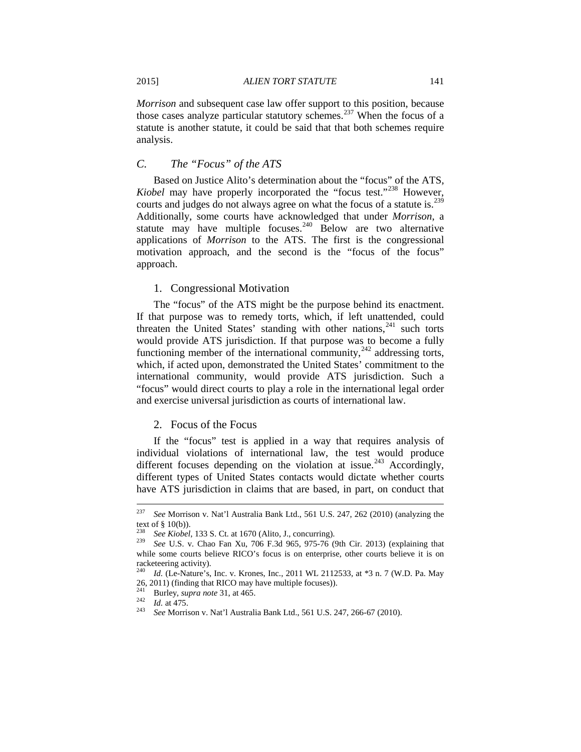*Morrison* and subsequent case law offer support to this position, because those cases analyze particular statutory schemes.<sup>[237](#page-31-0)</sup> When the focus of a statute is another statute, it could be said that that both schemes require analysis.

#### *C. The "Focus" of the ATS*

Based on Justice Alito's determination about the "focus" of the ATS, *Kiobel* may have properly incorporated the "focus test."<sup>[238](#page-31-1)</sup> However, courts and judges do not always agree on what the focus of a statute is.<sup>[239](#page-31-2)</sup> Additionally, some courts have acknowledged that under *Morrison*, a statute may have multiple focuses.<sup>[240](#page-31-3)</sup> Below are two alternative applications of *Morrison* to the ATS. The first is the congressional motivation approach, and the second is the "focus of the focus" approach.

#### 1. Congressional Motivation

The "focus" of the ATS might be the purpose behind its enactment. If that purpose was to remedy torts, which, if left unattended, could threaten the United States' standing with other nations, $241$  such torts would provide ATS jurisdiction. If that purpose was to become a fully functioning member of the international community,  $242$  addressing torts, which, if acted upon, demonstrated the United States' commitment to the international community, would provide ATS jurisdiction. Such a "focus" would direct courts to play a role in the international legal order and exercise universal jurisdiction as courts of international law.

#### 2. Focus of the Focus

If the "focus" test is applied in a way that requires analysis of individual violations of international law, the test would produce different focuses depending on the violation at issue.<sup>[243](#page-31-6)</sup> Accordingly, different types of United States contacts would dictate whether courts have ATS jurisdiction in claims that are based, in part, on conduct that

<span id="page-31-0"></span> <sup>237</sup> *See* Morrison v. Nat'l Australia Bank Ltd., 561 U.S. 247, 262 (2010) (analyzing the text of § 10(b)). <sup>238</sup> *See Kiobel*, 133 S. Ct. at 1670 (Alito, J., concurring). <sup>239</sup> *See* U.S. v. Chao Fan Xu, 706 F.3d 965, 975-76 (9th Cir. 2013) (explaining that

<span id="page-31-2"></span><span id="page-31-1"></span>while some courts believe RICO's focus is on enterprise, other courts believe it is on racketeering activity).

<span id="page-31-3"></span><sup>240</sup> *Id.* (Le-Nature's, Inc. v. Krones, Inc., 2011 WL 2112533, at \*3 n. 7 (W.D. Pa. May 26, 2011) (finding that RICO may have multiple focuses)).<br>
<sup>241</sup> Burley, *supra note* 31, at 465.<br>
<sup>242</sup> *Id.* at 475.<br>
<sup>243</sup> *See* Morrison v. Nat'l Australia Bank Ltd., 561 U.S. 247, 266-67 (2010).

<span id="page-31-6"></span><span id="page-31-5"></span><span id="page-31-4"></span>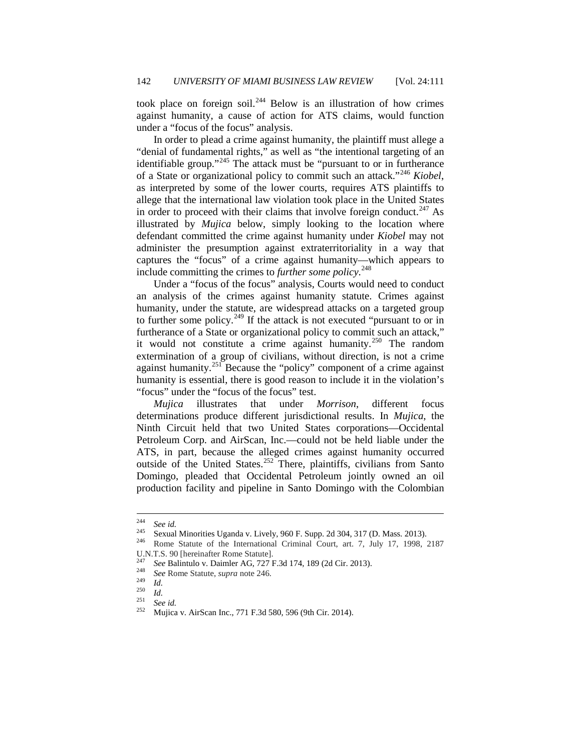took place on foreign soil.[244](#page-32-0) Below is an illustration of how crimes against humanity, a cause of action for ATS claims, would function under a "focus of the focus" analysis.

In order to plead a crime against humanity, the plaintiff must allege a "denial of fundamental rights," as well as "the intentional targeting of an identifiable group."<sup>[245](#page-32-1)</sup> The attack must be "pursuant to or in furtherance of a State or organizational policy to commit such an attack."[246](#page-32-2) *Kiobel*, as interpreted by some of the lower courts, requires ATS plaintiffs to allege that the international law violation took place in the United States in order to proceed with their claims that involve foreign conduct.<sup>[247](#page-32-3)</sup> As illustrated by *Mujica* below, simply looking to the location where defendant committed the crime against humanity under *Kiobel* may not administer the presumption against extraterritoriality in a way that captures the "focus" of a crime against humanity—which appears to include committing the crimes to *further some policy*. [248](#page-32-4)

Under a "focus of the focus" analysis, Courts would need to conduct an analysis of the crimes against humanity statute. Crimes against humanity, under the statute, are widespread attacks on a targeted group to further some policy.<sup>[249](#page-32-5)</sup> If the attack is not executed "pursuant to or in furtherance of a State or organizational policy to commit such an attack," it would not constitute a crime against humanity.[250](#page-32-6) The random extermination of a group of civilians, without direction, is not a crime against humanity.<sup>[251](#page-32-7)</sup> Because the "policy" component of a crime against humanity is essential, there is good reason to include it in the violation's "focus" under the "focus of the focus" test.

*Mujica* illustrates that under *Morrison*, different focus determinations produce different jurisdictional results. In *Mujica*, the Ninth Circuit held that two United States corporations—Occidental Petroleum Corp. and AirScan, Inc.—could not be held liable under the ATS, in part, because the alleged crimes against humanity occurred outside of the United States.<sup>[252](#page-32-8)</sup> There, plaintiffs, civilians from Santo Domingo, pleaded that Occidental Petroleum jointly owned an oil production facility and pipeline in Santo Domingo with the Colombian

<span id="page-32-1"></span><span id="page-32-0"></span><sup>&</sup>lt;sup>244</sup> *See id.* 245 Sexual Minorities Uganda v. Lively, 960 F. Supp. 2d 304, 317 (D. Mass. 2013).<br><sup>246</sup> Rome Statute of the International Criminal Court, art. 7, July 17, 1998, 2187 U.N.T.S. 90 [hereinafter Rome Statute].

<span id="page-32-4"></span><span id="page-32-3"></span><span id="page-32-2"></span><sup>&</sup>lt;sup>247</sup> See Balintulo v. Daimler AG, 727 F.3d 174, 189 (2d Cir. 2013).<br>
<sup>248</sup> See Rome Statute, *supra* note 246.<br>
<sup>249</sup> Id.<br>
<sup>250</sup> Id.<br>
<sup>251</sup> See id.<br>
Mujica v. AirScan Inc., 771 F.3d 580, 596 (9th Cir. 2014).

<span id="page-32-5"></span>

<span id="page-32-8"></span><span id="page-32-7"></span><span id="page-32-6"></span>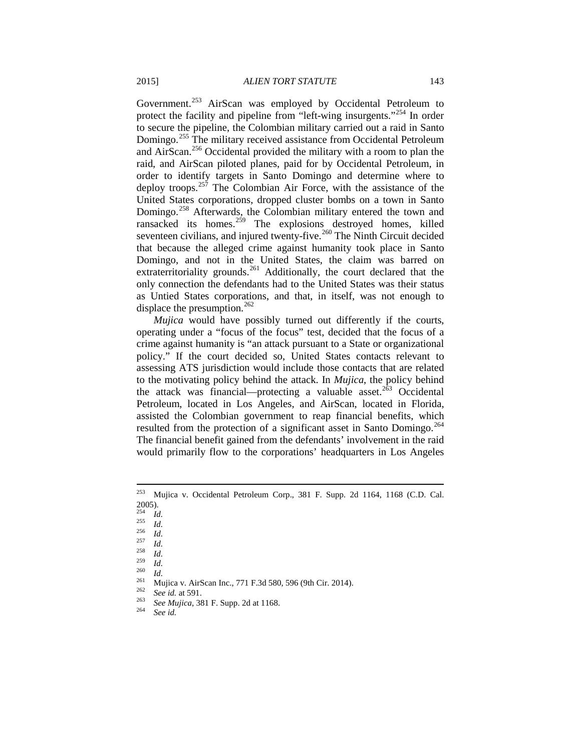Government.<sup>[253](#page-33-0)</sup> AirScan was employed by Occidental Petroleum to protect the facility and pipeline from "left-wing insurgents."[254](#page-33-1) In order to secure the pipeline, the Colombian military carried out a raid in Santo Domingo.[255](#page-33-2) The military received assistance from Occidental Petroleum and AirScan.[256](#page-33-3) Occidental provided the military with a room to plan the raid, and AirScan piloted planes, paid for by Occidental Petroleum, in order to identify targets in Santo Domingo and determine where to deploy troops. $257$  The Colombian Air Force, with the assistance of the United States corporations, dropped cluster bombs on a town in Santo Domingo.<sup>[258](#page-33-5)</sup> Afterwards, the Colombian military entered the town and ransacked its homes.<sup>[259](#page-33-6)</sup> The explosions destroyed homes, killed seventeen civilians, and injured twenty-five.<sup>[260](#page-33-7)</sup> The Ninth Circuit decided that because the alleged crime against humanity took place in Santo Domingo, and not in the United States, the claim was barred on extraterritoriality grounds.<sup>[261](#page-33-8)</sup> Additionally, the court declared that the only connection the defendants had to the United States was their status as Untied States corporations, and that, in itself, was not enough to displace the presumption.<sup>[262](#page-33-9)</sup>

*Mujica* would have possibly turned out differently if the courts, operating under a "focus of the focus" test, decided that the focus of a crime against humanity is "an attack pursuant to a State or organizational policy." If the court decided so, United States contacts relevant to assessing ATS jurisdiction would include those contacts that are related to the motivating policy behind the attack. In *Mujica*, the policy behind the attack was financial—protecting a valuable asset.<sup>[263](#page-33-10)</sup> Occidental Petroleum, located in Los Angeles, and AirScan, located in Florida, assisted the Colombian government to reap financial benefits, which resulted from the protection of a significant asset in Santo Domingo.<sup>[264](#page-33-11)</sup> The financial benefit gained from the defendants' involvement in the raid would primarily flow to the corporations' headquarters in Los Angeles

<span id="page-33-0"></span> <sup>253</sup> Mujica v. Occidental Petroleum Corp., 381 F. Supp. 2d 1164, 1168 (C.D. Cal.  $\frac{2005}{254}$ .

<span id="page-33-3"></span>

<span id="page-33-6"></span><span id="page-33-5"></span><span id="page-33-4"></span>

<span id="page-33-7"></span>

<span id="page-33-2"></span><span id="page-33-1"></span><sup>&</sup>lt;sup>254</sup> *Id.*<br><sup>255</sup> *Id.*<br><sup>256</sup> *Id.*<br><sup>256</sup> *Id.*<br>*Id.*<br>*Id.*<br>*269 Id.*<br>*Ald.*<br>*Mujica v. AirScan Inc., 771 F.3d 580, 596 (9th Cir. 2014).<br><sup>262</sup> <i>See id.* at 591.<br>*See Mujica,* 381 F. Supp. 2d at 1168.<br>*See Id. See Id.* 

<span id="page-33-11"></span><span id="page-33-10"></span><span id="page-33-9"></span><span id="page-33-8"></span>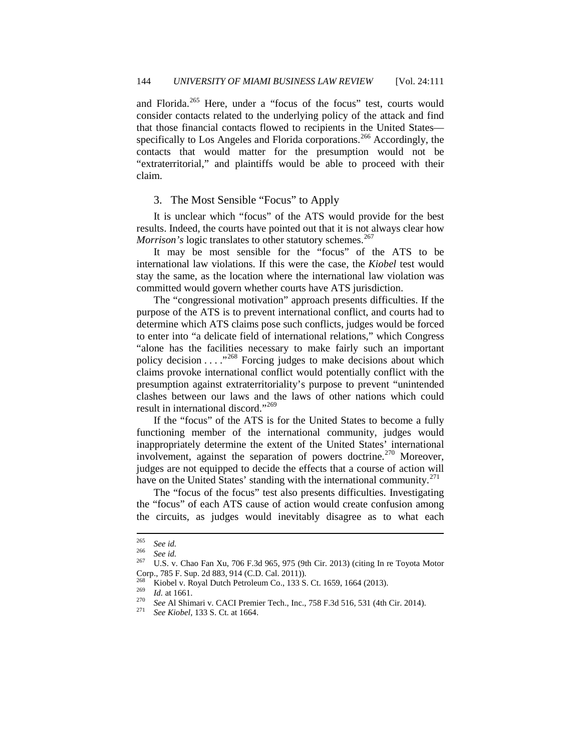and Florida.<sup>[265](#page-34-0)</sup> Here, under a "focus of the focus" test, courts would consider contacts related to the underlying policy of the attack and find that those financial contacts flowed to recipients in the United States— specifically to Los Angeles and Florida corporations.<sup>[266](#page-34-1)</sup> Accordingly, the contacts that would matter for the presumption would not be "extraterritorial," and plaintiffs would be able to proceed with their claim.

#### 3. The Most Sensible "Focus" to Apply

It is unclear which "focus" of the ATS would provide for the best results. Indeed, the courts have pointed out that it is not always clear how *Morrison's* logic translates to other statutory schemes.<sup>[267](#page-34-2)</sup>

It may be most sensible for the "focus" of the ATS to be international law violations. If this were the case, the *Kiobel* test would stay the same, as the location where the international law violation was committed would govern whether courts have ATS jurisdiction.

The "congressional motivation" approach presents difficulties. If the purpose of the ATS is to prevent international conflict, and courts had to determine which ATS claims pose such conflicts, judges would be forced to enter into "a delicate field of international relations," which Congress "alone has the facilities necessary to make fairly such an important policy decision . . . . "<sup>[268](#page-34-3)</sup> Forcing judges to make decisions about which claims provoke international conflict would potentially conflict with the presumption against extraterritoriality's purpose to prevent "unintended clashes between our laws and the laws of other nations which could result in international discord."[269](#page-34-4)

If the "focus" of the ATS is for the United States to become a fully functioning member of the international community, judges would inappropriately determine the extent of the United States' international involvement, against the separation of powers doctrine.<sup>[270](#page-34-5)</sup> Moreover, judges are not equipped to decide the effects that a course of action will have on the United States' standing with the international community. $^{271}$  $^{271}$  $^{271}$ 

The "focus of the focus" test also presents difficulties. Investigating the "focus" of each ATS cause of action would create confusion among the circuits, as judges would inevitably disagree as to what each

<span id="page-34-1"></span><span id="page-34-0"></span><sup>265</sup> *See id.* <sup>266</sup> *See id.* <sup>267</sup> U.S. v. Chao Fan Xu, 706 F.3d 965, 975 (9th Cir. 2013) (citing In re Toyota Motor Corp., 785 F. Sup. 2d 883, 914 (C.D. Cal. 2011)).

<span id="page-34-6"></span><span id="page-34-5"></span>

<span id="page-34-4"></span><span id="page-34-3"></span><span id="page-34-2"></span><sup>&</sup>lt;sup>268</sup> Kiobel v. Royal Dutch Petroleum Co., 133 S. Ct. 1659, 1664 (2013).<br>
<sup>269</sup> *Id.* at 1661.<br>
<sup>270</sup> *See* Al Shimari v. CACI Premier Tech., Inc., 758 F.3d 516, 531 (4th Cir. 2014).<br>
<sup>271</sup> *See Kiobel*, 133 S. Ct. at 166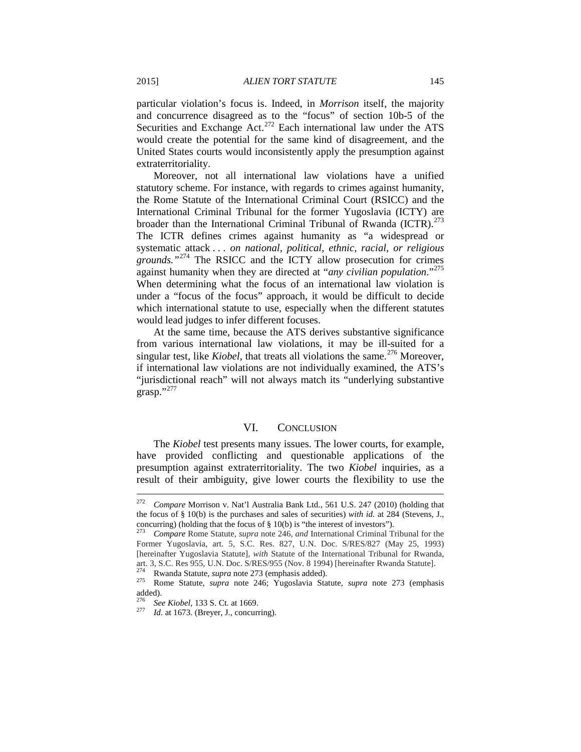particular violation's focus is. Indeed, in *Morrison* itself, the majority and concurrence disagreed as to the "focus" of section 10b-5 of the Securities and Exchange Act.<sup>[272](#page-35-0)</sup> Each international law under the ATS would create the potential for the same kind of disagreement, and the United States courts would inconsistently apply the presumption against extraterritoriality.

Moreover, not all international law violations have a unified statutory scheme. For instance, with regards to crimes against humanity, the Rome Statute of the International Criminal Court (RSICC) and the International Criminal Tribunal for the former Yugoslavia (ICTY) are broader than the International Criminal Tribunal of Rwanda (ICTR).<sup>[273](#page-35-1)</sup> The ICTR defines crimes against humanity as "a widespread or systematic attack . . . *on national, political, ethnic, racial, or religious grounds."*[274](#page-35-2) The RSICC and the ICTY allow prosecution for crimes against humanity when they are directed at "*any civilian population*."[275](#page-35-3) When determining what the focus of an international law violation is under a "focus of the focus" approach, it would be difficult to decide which international statute to use, especially when the different statutes would lead judges to infer different focuses.

At the same time, because the ATS derives substantive significance from various international law violations, it may be ill-suited for a singular test, like *Kiobel*, that treats all violations the same.<sup>[276](#page-35-4)</sup> Moreover, if international law violations are not individually examined, the ATS's "jurisdictional reach" will not always match its "underlying substantive  $grasp."^{277}$  $grasp."^{277}$  $grasp."^{277}$ 

#### VI. CONCLUSION

The *Kiobel* test presents many issues. The lower courts, for example, have provided conflicting and questionable applications of the presumption against extraterritoriality. The two *Kiobel* inquiries, as a result of their ambiguity, give lower courts the flexibility to use the

<span id="page-35-0"></span> <sup>272</sup> *Compare* Morrison v. Nat'l Australia Bank Ltd., 561 U.S. 247 (2010) (holding that the focus of § 10(b) is the purchases and sales of securities) *with id.* at 284 (Stevens, J., concurring) (holding that the focus of § 10(b) is "the interest of investors"). <sup>273</sup> *Compare* Rome Statute, *supra* note 246, *and* International Criminal Tribunal for the

<span id="page-35-1"></span>Former Yugoslavia, art. 5, S.C. Res. 827, U.N. Doc. S/RES/827 (May 25, 1993) [hereinafter Yugoslavia Statute], *with* Statute of the International Tribunal for Rwanda, art. 3, S.C. Res 955, U.N. Doc. S/RES/955 (Nov. 8 1994) [hereinafter Rwanda Statute].

<span id="page-35-3"></span><span id="page-35-2"></span><sup>274</sup> Rwanda Statute, *supra* note 273 (emphasis added). <sup>275</sup> Rome Statute, *supra* note 246; Yugoslavia Statute, *supra* note 273 (emphasis added).

<span id="page-35-5"></span><span id="page-35-4"></span><sup>276</sup> *See Kiobel*, 133 S. Ct. at 1669. <sup>277</sup> *Id.* at 1673. (Breyer, J., concurring).